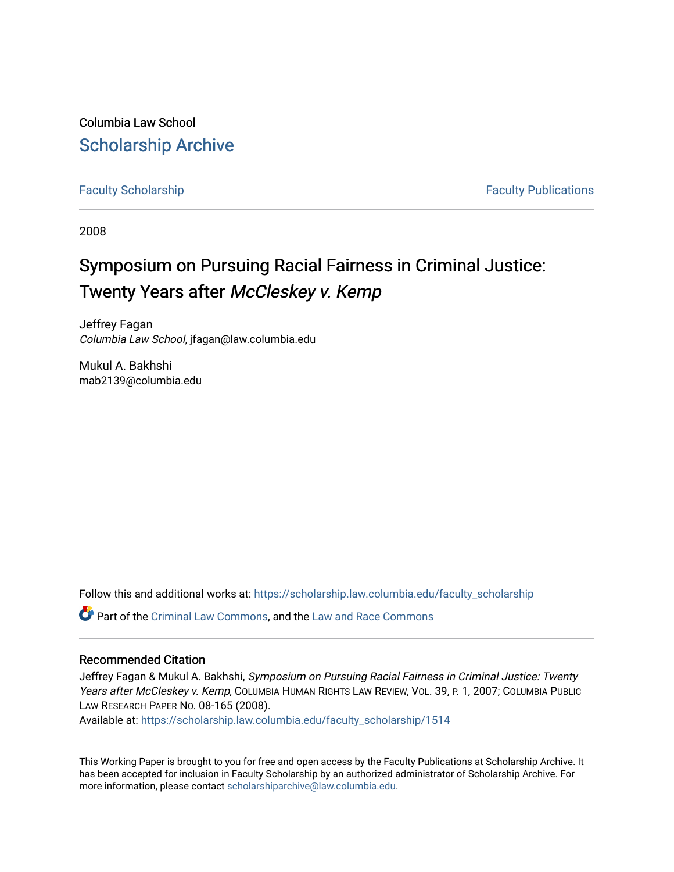Columbia Law School [Scholarship Archive](https://scholarship.law.columbia.edu/) 

[Faculty Scholarship](https://scholarship.law.columbia.edu/faculty_scholarship) **Faculty Scholarship Faculty Publications** 

2008

# Symposium on Pursuing Racial Fairness in Criminal Justice: Twenty Years after McCleskey v. Kemp

Jeffrey Fagan Columbia Law School, jfagan@law.columbia.edu

Mukul A. Bakhshi mab2139@columbia.edu

Follow this and additional works at: [https://scholarship.law.columbia.edu/faculty\\_scholarship](https://scholarship.law.columbia.edu/faculty_scholarship?utm_source=scholarship.law.columbia.edu%2Ffaculty_scholarship%2F1514&utm_medium=PDF&utm_campaign=PDFCoverPages)

Part of the [Criminal Law Commons,](http://network.bepress.com/hgg/discipline/912?utm_source=scholarship.law.columbia.edu%2Ffaculty_scholarship%2F1514&utm_medium=PDF&utm_campaign=PDFCoverPages) and the [Law and Race Commons](http://network.bepress.com/hgg/discipline/1300?utm_source=scholarship.law.columbia.edu%2Ffaculty_scholarship%2F1514&utm_medium=PDF&utm_campaign=PDFCoverPages)

### Recommended Citation

Jeffrey Fagan & Mukul A. Bakhshi, Symposium on Pursuing Racial Fairness in Criminal Justice: Twenty Years after McCleskey v. Kemp, COLUMBIA HUMAN RIGHTS LAW REVIEW, VOL. 39, P. 1, 2007; COLUMBIA PUBLIC LAW RESEARCH PAPER NO. 08-165 (2008).

Available at: [https://scholarship.law.columbia.edu/faculty\\_scholarship/1514](https://scholarship.law.columbia.edu/faculty_scholarship/1514?utm_source=scholarship.law.columbia.edu%2Ffaculty_scholarship%2F1514&utm_medium=PDF&utm_campaign=PDFCoverPages)

This Working Paper is brought to you for free and open access by the Faculty Publications at Scholarship Archive. It has been accepted for inclusion in Faculty Scholarship by an authorized administrator of Scholarship Archive. For more information, please contact [scholarshiparchive@law.columbia.edu.](mailto:scholarshiparchive@law.columbia.edu)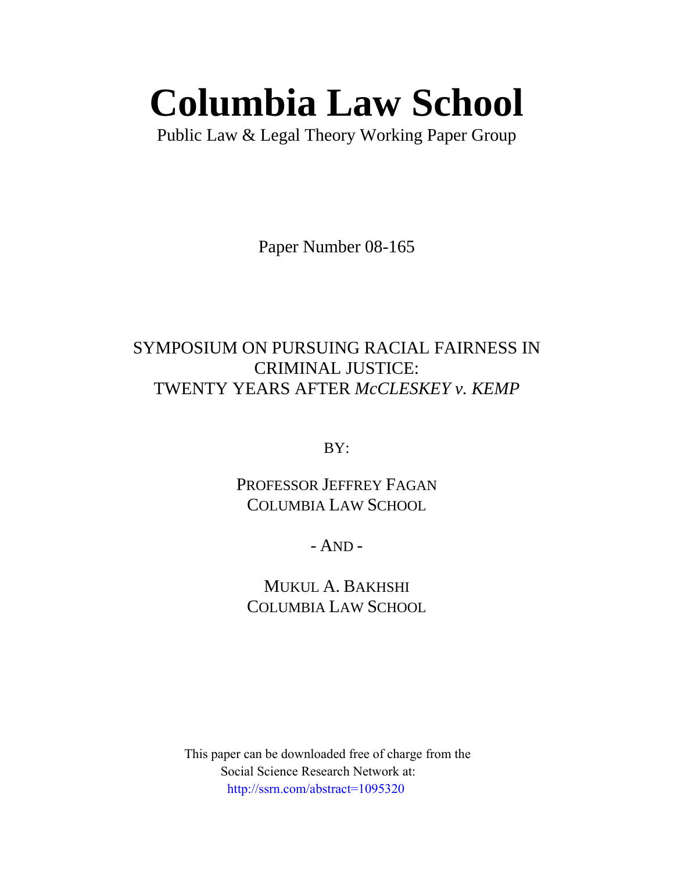# **Columbia Law School**

Public Law & Legal Theory Working Paper Group

Paper Number 08-165

# SYMPOSIUM ON PURSUING RACIAL FAIRNESS IN CRIMINAL JUSTICE: TWENTY YEARS AFTER *McCLESKEY v. KEMP*

BY:

PROFESSOR JEFFREY FAGAN COLUMBIA LAW SCHOOL

- AND -

MUKUL A. BAKHSHI COLUMBIA LAW SCHOOL

 This paper can be downloaded free of charge from the Social Science Research Network at: http://ssrn.com/abstract=1095320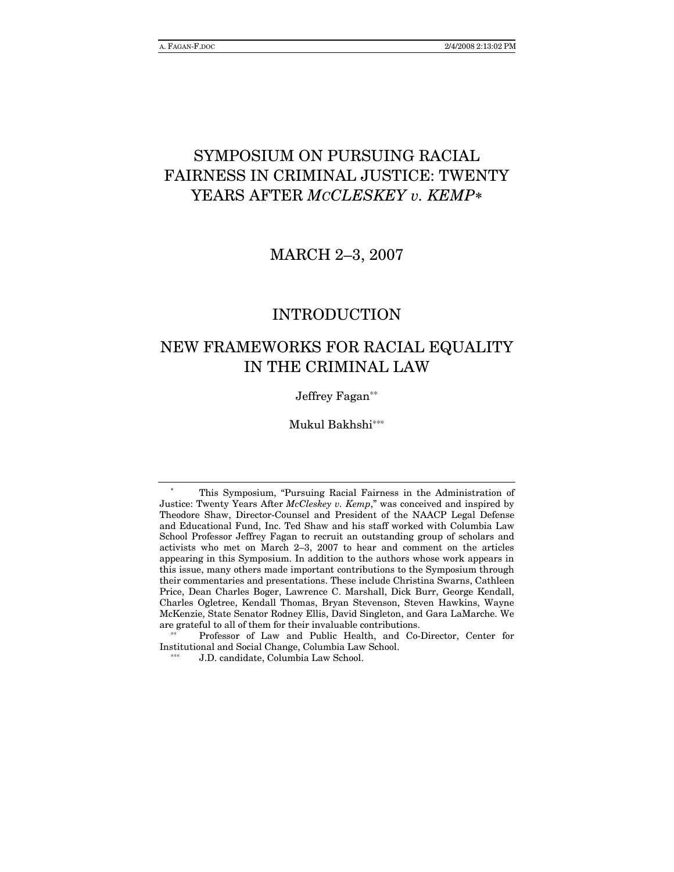# SYMPOSIUM ON PURSUING RACIAL **FAIRNESS IN CRIMINAL JUSTICE: TWENTY** YEARS AFTER MCCLESKEY v. KEMP\*

**MARCH 2-3, 2007** 

### **INTRODUCTION**

# NEW FRAMEWORKS FOR RACIAL EQUALITY IN THE CRIMINAL LAW

Jeffrey Fagan\*\*

Mukul Bakhshi\*\*\*

Professor of Law and Public Health, and Co-Director, Center for Institutional and Social Change, Columbia Law School.

This Symposium, "Pursuing Racial Fairness in the Administration of Justice: Twenty Years After McCleskey v. Kemp," was conceived and inspired by Theodore Shaw, Director-Counsel and President of the NAACP Legal Defense and Educational Fund, Inc. Ted Shaw and his staff worked with Columbia Law School Professor Jeffrey Fagan to recruit an outstanding group of scholars and activists who met on March 2-3, 2007 to hear and comment on the articles appearing in this Symposium. In addition to the authors whose work appears in this issue, many others made important contributions to the Symposium through their commentaries and presentations. These include Christina Swarns, Cathleen Price, Dean Charles Boger, Lawrence C. Marshall, Dick Burr, George Kendall, Charles Ogletree, Kendall Thomas, Bryan Stevenson, Steven Hawkins, Wayne McKenzie, State Senator Rodney Ellis, David Singleton, and Gara LaMarche. We are grateful to all of them for their invaluable contributions.

J.D. candidate, Columbia Law School.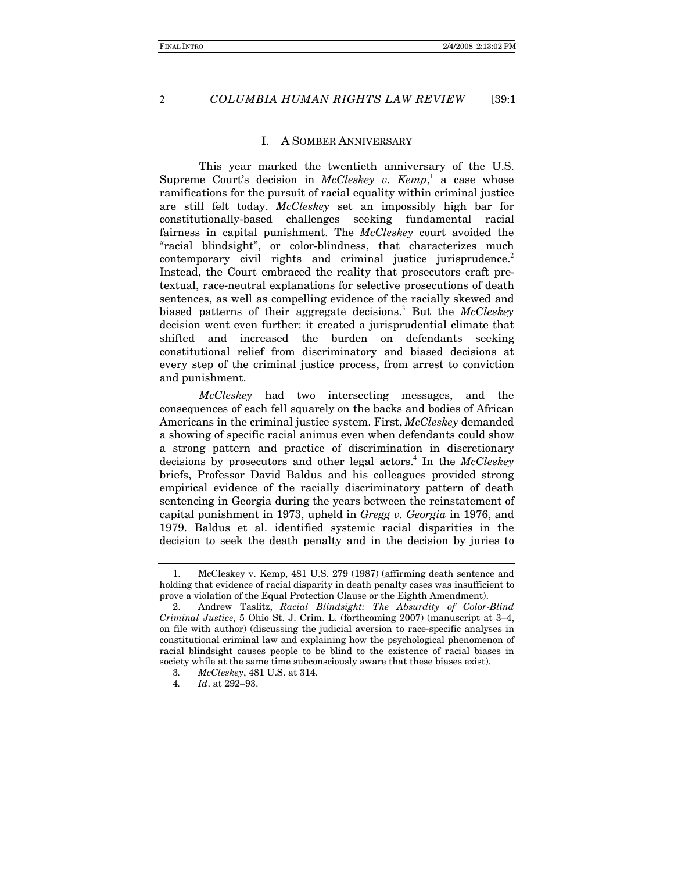$\overline{2}$ 

#### COLUMBIA HUMAN RIGHTS LAW REVIEW  $[39:1]$

#### I. A SOMBER ANNIVERSARY

This year marked the twentieth anniversary of the U.S. Supreme Court's decision in *McCleskey v. Kemp*, a case whose ramifications for the pursuit of racial equality within criminal justice are still felt today. McCleskey set an impossibly high bar for constitutionally-based challenges seeking fundamental racial fairness in capital punishment. The McCleskey court avoided the "racial blindsight", or color-blindness, that characterizes much contemporary civil rights and criminal justice jurisprudence.<sup>2</sup> Instead, the Court embraced the reality that prosecutors craft pretextual, race-neutral explanations for selective prosecutions of death sentences, as well as compelling evidence of the racially skewed and biased patterns of their aggregate decisions.<sup>3</sup> But the McCleskey decision went even further: it created a jurisprudential climate that shifted and increased the burden on defendants seeking constitutional relief from discriminatory and biased decisions at every step of the criminal justice process, from arrest to conviction and punishment.

McCleskey had two intersecting messages, and the consequences of each fell squarely on the backs and bodies of African Americans in the criminal justice system. First, McCleskey demanded a showing of specific racial animus even when defendants could show a strong pattern and practice of discrimination in discretionary decisions by prosecutors and other legal actors.<sup>4</sup> In the McCleskey briefs, Professor David Baldus and his colleagues provided strong empirical evidence of the racially discriminatory pattern of death sentencing in Georgia during the years between the reinstatement of capital punishment in 1973, upheld in Gregg v. Georgia in 1976, and 1979. Baldus et al. identified systemic racial disparities in the decision to seek the death penalty and in the decision by juries to

McCleskey v. Kemp, 481 U.S. 279 (1987) (affirming death sentence and 1. holding that evidence of racial disparity in death penalty cases was insufficient to prove a violation of the Equal Protection Clause or the Eighth Amendment).

Andrew Taslitz, Racial Blindsight: The Absurdity of Color-Blind 2. Criminal Justice, 5 Ohio St. J. Crim. L. (forthcoming 2007) (manuscript at 3-4, on file with author) (discussing the judicial aversion to race-specific analyses in constitutional criminal law and explaining how the psychological phenomenon of racial blindsight causes people to be blind to the existence of racial biases in society while at the same time subconsciously aware that these biases exist).

McCleskey, 481 U.S. at 314. 3.

Id. at 292-93.  $\overline{4}$ .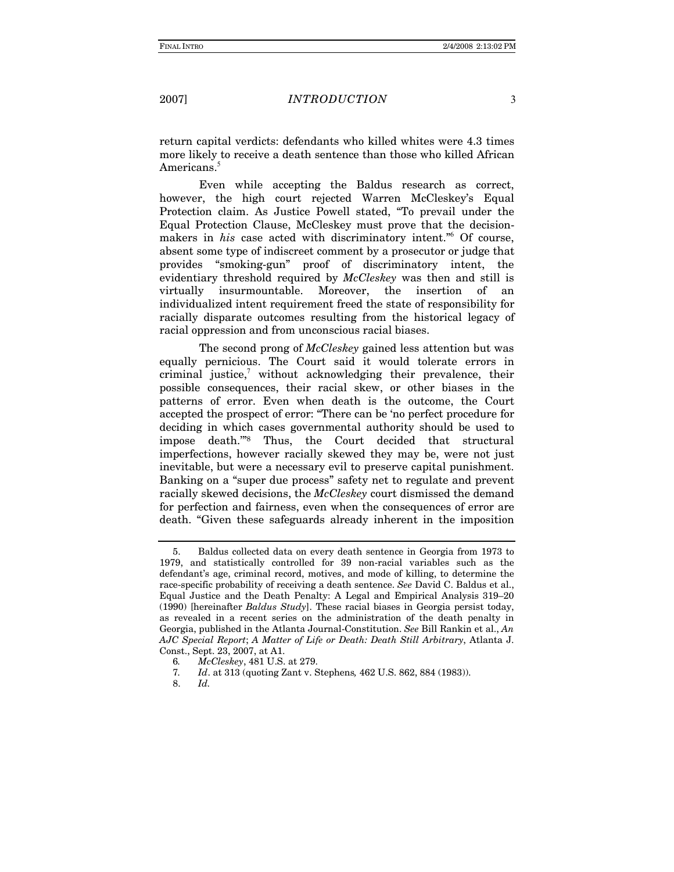### *INTRODUCTION*

 $\overline{3}$ 

return capital verdicts: defendants who killed whites were 4.3 times more likely to receive a death sentence than those who killed African Americans.<sup>5</sup>

Even while accepting the Baldus research as correct, however, the high court rejected Warren McCleskey's Equal Protection claim. As Justice Powell stated, "To prevail under the Equal Protection Clause, McCleskey must prove that the decisionmakers in his case acted with discriminatory intent." Of course, absent some type of indiscreet comment by a prosecutor or judge that provides "smoking-gun" proof of discriminatory intent, the evidentiary threshold required by McCleskey was then and still is virtually insurmountable. Moreover, the insertion of an individualized intent requirement freed the state of responsibility for racially disparate outcomes resulting from the historical legacy of racial oppression and from unconscious racial biases.

The second prong of *McCleskey* gained less attention but was equally pernicious. The Court said it would tolerate errors in criminal justice, without acknowledging their prevalence, their possible consequences, their racial skew, or other biases in the patterns of error. Even when death is the outcome, the Court accepted the prospect of error: "There can be 'no perfect procedure for deciding in which cases governmental authority should be used to impose death."<sup>8</sup> Thus, the Court decided that structural imperfections, however racially skewed they may be, were not just inevitable, but were a necessary evil to preserve capital punishment. Banking on a "super due process" safety net to regulate and prevent racially skewed decisions, the McCleskey court dismissed the demand for perfection and fairness, even when the consequences of error are death. "Given these safeguards already inherent in the imposition

<sup>5.</sup> Baldus collected data on every death sentence in Georgia from 1973 to 1979, and statistically controlled for 39 non-racial variables such as the defendant's age, criminal record, motives, and mode of killing, to determine the race-specific probability of receiving a death sentence. See David C. Baldus et al., Equal Justice and the Death Penalty: A Legal and Empirical Analysis 319–20  $(1990)$  [hereinafter *Baldus Study*]. These racial biases in Georgia persist today, as revealed in a recent series on the administration of the death penalty in Georgia, published in the Atlanta Journal-Constitution. See Bill Rankin et al., An AJC Special Report; A Matter of Life or Death: Death Still Arbitrary, Atlanta J. Const., Sept. 23, 2007, at A1.

McCleskey, 481 U.S. at 279. 6.

Id. at 313 (quoting Zant v. Stephens, 462 U.S. 862, 884 (1983)). 7.

<sup>8.</sup>  $Id.$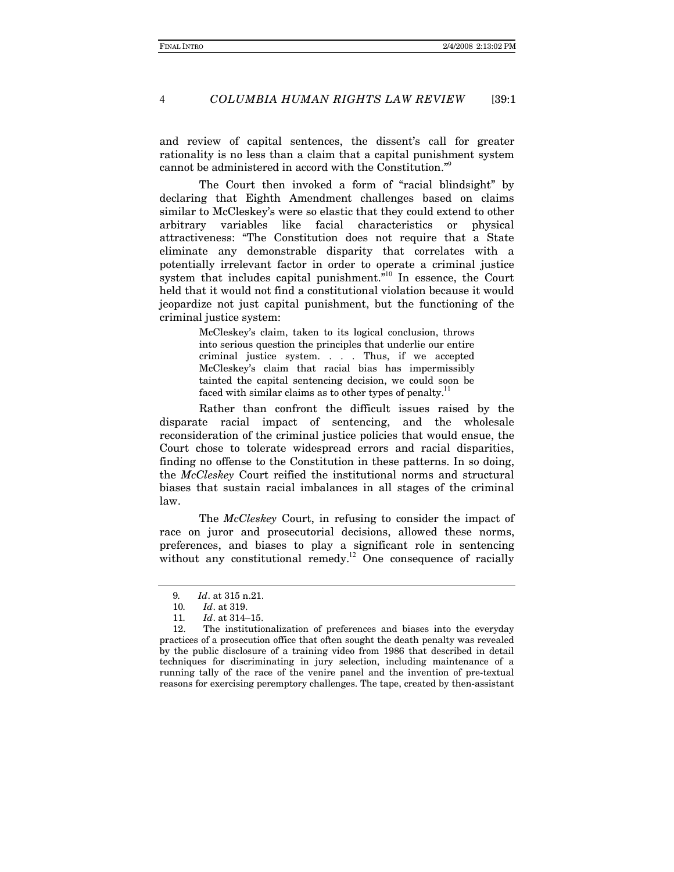$\overline{4}$ 

#### COLUMBIA HUMAN RIGHTS LAW REVIEW  $139:1$

and review of capital sentences, the dissent's call for greater rationality is no less than a claim that a capital punishment system cannot be administered in accord with the Constitution."

The Court then invoked a form of "racial blindsight" by declaring that Eighth Amendment challenges based on claims similar to McCleskey's were so elastic that they could extend to other variables like facial characteristics or physical arbitrary attractiveness: "The Constitution does not require that a State eliminate any demonstrable disparity that correlates with a potentially irrelevant factor in order to operate a criminal justice system that includes capital punishment.<sup>510</sup> In essence, the Court held that it would not find a constitutional violation because it would jeopardize not just capital punishment, but the functioning of the criminal justice system:

> McCleskey's claim, taken to its logical conclusion, throws into serious question the principles that underlie our entire criminal justice system. . . . Thus, if we accepted McCleskey's claim that racial bias has impermissibly tainted the capital sentencing decision, we could soon be faced with similar claims as to other types of penalty.<sup>11</sup>

Rather than confront the difficult issues raised by the disparate racial impact of sentencing, and the wholesale reconsideration of the criminal justice policies that would ensue, the Court chose to tolerate widespread errors and racial disparities, finding no offense to the Constitution in these patterns. In so doing, the McCleskey Court reified the institutional norms and structural biases that sustain racial imbalances in all stages of the criminal law.

The McCleskey Court, in refusing to consider the impact of race on juror and prosecutorial decisions, allowed these norms, preferences, and biases to play a significant role in sentencing without any constitutional remedy.<sup>12</sup> One consequence of racially

<sup>9.</sup> Id. at 315 n.21.

<sup>10.</sup> Id. at 319.

<sup>11.</sup> Id. at 314-15.

<sup>12.</sup> The institutionalization of preferences and biases into the everyday practices of a prosecution office that often sought the death penalty was revealed by the public disclosure of a training video from 1986 that described in detail techniques for discriminating in jury selection, including maintenance of a running tally of the race of the venire panel and the invention of pre-textual reasons for exercising peremptory challenges. The tape, created by then-assistant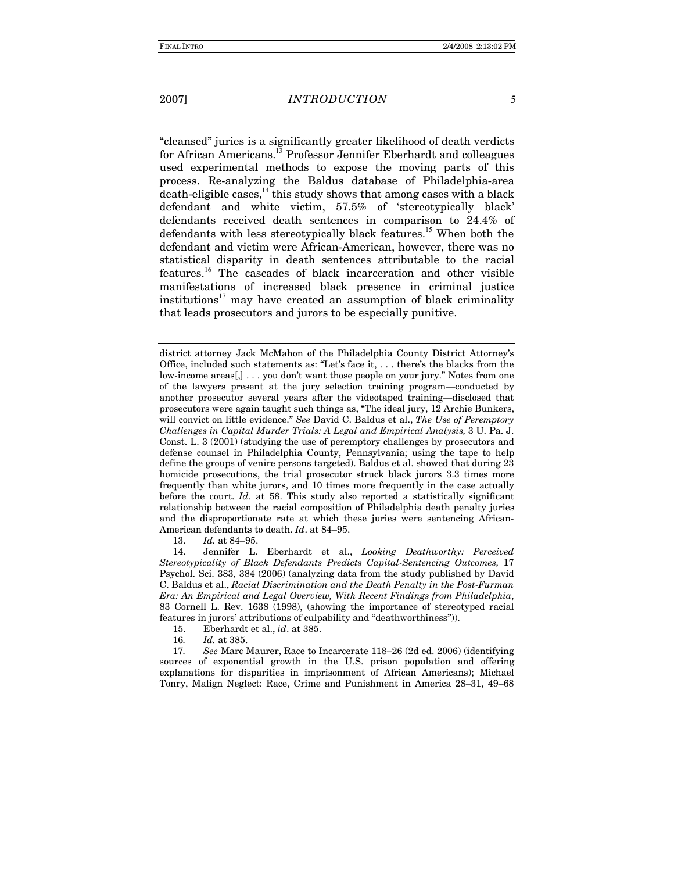### **INTRODUCTION**

"cleansed" juries is a significantly greater likelihood of death verdicts for African Americans.<sup>13</sup> Professor Jennifer Eberhardt and colleagues used experimental methods to expose the moving parts of this process. Re-analyzing the Baldus database of Philadelphia-area  $\alpha$  death-eligible cases,<sup>14</sup> this study shows that among cases with a black defendant and white victim, 57.5% of 'stereotypically black' defendants received death sentences in comparison to 24.4% of defendants with less stereotypically black features.<sup>15</sup> When both the defendant and victim were African-American, however, there was no statistical disparity in death sentences attributable to the racial features.<sup>16</sup> The cascades of black incarceration and other visible manifestations of increased black presence in criminal justice institutions<sup>17</sup> may have created an assumption of black criminality that leads prosecutors and jurors to be especially punitive.

district attorney Jack McMahon of the Philadelphia County District Attorney's Office, included such statements as: "Let's face it, . . . there's the blacks from the low-income areas[,] . . . you don't want those people on your jury." Notes from one of the lawyers present at the jury selection training program—conducted by another prosecutor several years after the videotaped training-disclosed that prosecutors were again taught such things as, "The ideal jury, 12 Archie Bunkers, will convict on little evidence." See David C. Baldus et al., The Use of Peremptory Challenges in Capital Murder Trials: A Legal and Empirical Analysis, 3 U. Pa. J. Const. L. 3 (2001) (studying the use of peremptory challenges by prosecutors and defense counsel in Philadelphia County, Pennsylvania; using the tape to help define the groups of venire persons targeted). Baldus et al. showed that during 23 homicide prosecutions, the trial prosecutor struck black jurors 3.3 times more frequently than white jurors, and 10 times more frequently in the case actually before the court.  $Id.$  at 58. This study also reported a statistically significant relationship between the racial composition of Philadelphia death penalty juries and the disproportionate rate at which these juries were sentencing African-American defendants to death. Id. at 84-95.

13. Id. at 84-95.

Jennifer L. Eberhardt et al., Looking Deathworthy: Perceived 14. Stereotypicality of Black Defendants Predicts Capital-Sentencing Outcomes, 17 Psychol. Sci. 383, 384 (2006) (analyzing data from the study published by David C. Baldus et al., Racial Discrimination and the Death Penalty in the Post-Furman Era: An Empirical and Legal Overview, With Recent Findings from Philadelphia, 83 Cornell L. Rev. 1638 (1998), (showing the importance of stereotyped racial features in jurors' attributions of culpability and "deathworthiness")).

15. Eberhardt et al., id. at 385.

16. Id. at 385.

17. See Marc Maurer, Race to Incarcerate 118–26 (2d ed. 2006) (identifying sources of exponential growth in the U.S. prison population and offering explanations for disparities in imprisonment of African Americans); Michael Tonry, Malign Neglect: Race, Crime and Punishment in America 28-31, 49-68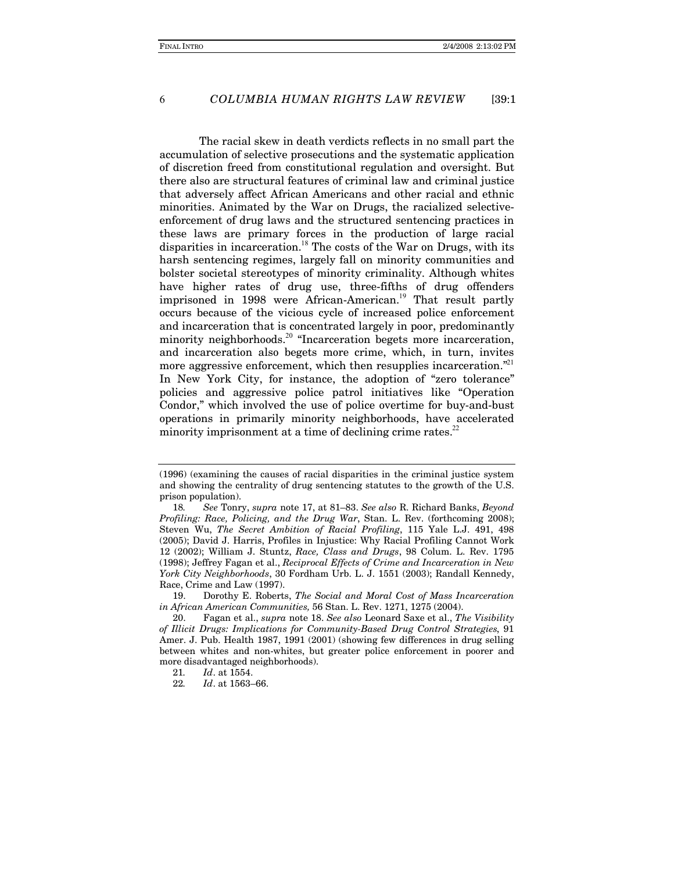#### COLUMBIA HUMAN RIGHTS LAW REVIEW  $139:1$

The racial skew in death verdicts reflects in no small part the accumulation of selective prosecutions and the systematic application of discretion freed from constitutional regulation and oversight. But there also are structural features of criminal law and criminal justice that adversely affect African Americans and other racial and ethnic minorities. Animated by the War on Drugs, the racialized selectiveenforcement of drug laws and the structured sentencing practices in these laws are primary forces in the production of large racial disparities in incarceration.<sup>18</sup> The costs of the War on Drugs, with its harsh sentencing regimes, largely fall on minority communities and bolster societal stereotypes of minority criminality. Although whites have higher rates of drug use, three-fifths of drug offenders imprisoned in 1998 were African-American.<sup>19</sup> That result partly occurs because of the vicious cycle of increased police enforcement and incarceration that is concentrated largely in poor, predominantly minority neighborhoods.<sup>20</sup> "Incarceration begets more incarceration, and incarceration also begets more crime, which, in turn, invites more aggressive enforcement, which then resupplies incarceration."<sup>21</sup> In New York City, for instance, the adoption of "zero tolerance" policies and aggressive police patrol initiatives like "Operation Condor," which involved the use of police overtime for buy-and-bust operations in primarily minority neighborhoods, have accelerated minority imprisonment at a time of declining crime rates.<sup>22</sup>

<sup>(1996) (</sup>examining the causes of racial disparities in the criminal justice system and showing the centrality of drug sentencing statutes to the growth of the U.S. prison population).

<sup>18.</sup> See Tonry, supra note 17, at 81-83. See also R. Richard Banks, Beyond Profiling: Race, Policing, and the Drug War, Stan. L. Rev. (forthcoming 2008); Steven Wu, The Secret Ambition of Racial Profiling, 115 Yale L.J. 491, 498 (2005); David J. Harris, Profiles in Injustice: Why Racial Profiling Cannot Work 12 (2002); William J. Stuntz, Race, Class and Drugs, 98 Colum. L. Rev. 1795 (1998); Jeffrey Fagan et al., Reciprocal Effects of Crime and Incarceration in New York City Neighborhoods, 30 Fordham Urb. L. J. 1551 (2003); Randall Kennedy, Race, Crime and Law (1997).

Dorothy E. Roberts, The Social and Moral Cost of Mass Incarceration 19. in African American Communities, 56 Stan. L. Rev. 1271, 1275 (2004).

<sup>20.</sup> Fagan et al., supra note 18. See also Leonard Saxe et al., The Visibility of Illicit Drugs: Implications for Community-Based Drug Control Strategies, 91 Amer. J. Pub. Health 1987, 1991 (2001) (showing few differences in drug selling between whites and non-whites, but greater police enforcement in poorer and more disadvantaged neighborhoods).

Id. at 1554. 21.

<sup>22.</sup> Id. at 1563-66.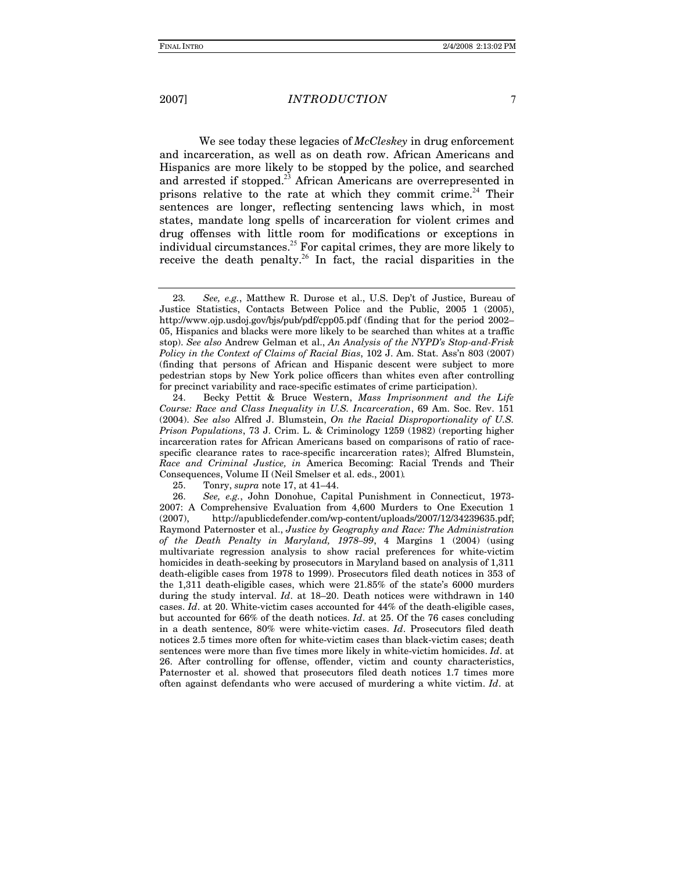### **INTRODUCTION**

We see today these legacies of McCleskey in drug enforcement and incarceration, as well as on death row. African Americans and Hispanics are more likely to be stopped by the police, and searched and arrested if stopped.<sup>23</sup> African Americans are overrepresented in prisons relative to the rate at which they commit crime.<sup>24</sup> Their sentences are longer, reflecting sentencing laws which, in most states, mandate long spells of incarceration for violent crimes and drug offenses with little room for modifications or exceptions in individual circumstances.<sup>25</sup> For capital crimes, they are more likely to receive the death penalty.<sup>26</sup> In fact, the racial disparities in the

25. Tonry, *supra* note 17, at 41–44.  $\overline{7}$ 

See, e.g., Matthew R. Durose et al., U.S. Dep't of Justice, Bureau of 23. Justice Statistics, Contacts Between Police and the Public, 2005 1 (2005), http://www.ojp.usdoj.gov/bjs/pub/pdf/cpp05.pdf (finding that for the period 2002– 05. Hispanics and blacks were more likely to be searched than whites at a traffic stop). See also Andrew Gelman et al., An Analysis of the NYPD's Stop-and-Frisk Policy in the Context of Claims of Racial Bias, 102 J. Am. Stat. Ass'n 803 (2007) (finding that persons of African and Hispanic descent were subject to more pedestrian stops by New York police officers than whites even after controlling for precinct variability and race-specific estimates of crime participation).

<sup>24.</sup> Becky Pettit & Bruce Western, Mass Imprisonment and the Life Course: Race and Class Inequality in U.S. Incarceration, 69 Am. Soc. Rev. 151 (2004). See also Alfred J. Blumstein, On the Racial Disproportionality of U.S. Prison Populations, 73 J. Crim. L. & Criminology 1259 (1982) (reporting higher incarceration rates for African Americans based on comparisons of ratio of racespecific clearance rates to race-specific incarceration rates); Alfred Blumstein, Race and Criminal Justice, in America Becoming: Racial Trends and Their Consequences, Volume II (Neil Smelser et al. eds., 2001).

<sup>26.</sup> See, e.g., John Donohue, Capital Punishment in Connecticut, 1973-2007: A Comprehensive Evaluation from 4,600 Murders to One Execution 1 http://apublicdefender.com/wp-content/uploads/2007/12/34239635.pdf;  $(2007)$ . Raymond Paternoster et al., Justice by Geography and Race: The Administration of the Death Penalty in Maryland, 1978–99, 4 Margins 1 (2004) (using multivariate regression analysis to show racial preferences for white-victim homicides in death-seeking by prosecutors in Maryland based on analysis of 1,311 death-eligible cases from 1978 to 1999). Prosecutors filed death notices in 353 of the 1.311 death-eligible cases, which were 21.85% of the state's 6000 murders during the study interval. *Id.* at  $18-20$ . Death notices were withdrawn in 140 cases. *Id.* at 20. White-victim cases accounted for 44% of the death-eligible cases, but accounted for 66% of the death notices. Id. at 25. Of the 76 cases concluding in a death sentence, 80% were white-victim cases. Id. Prosecutors filed death notices 2.5 times more often for white-victim cases than black-victim cases; death sentences were more than five times more likely in white-victim homicides. Id. at 26. After controlling for offense, offender, victim and county characteristics, Paternoster et al. showed that prosecutors filed death notices 1.7 times more often against defendants who were accused of murdering a white victim. Id. at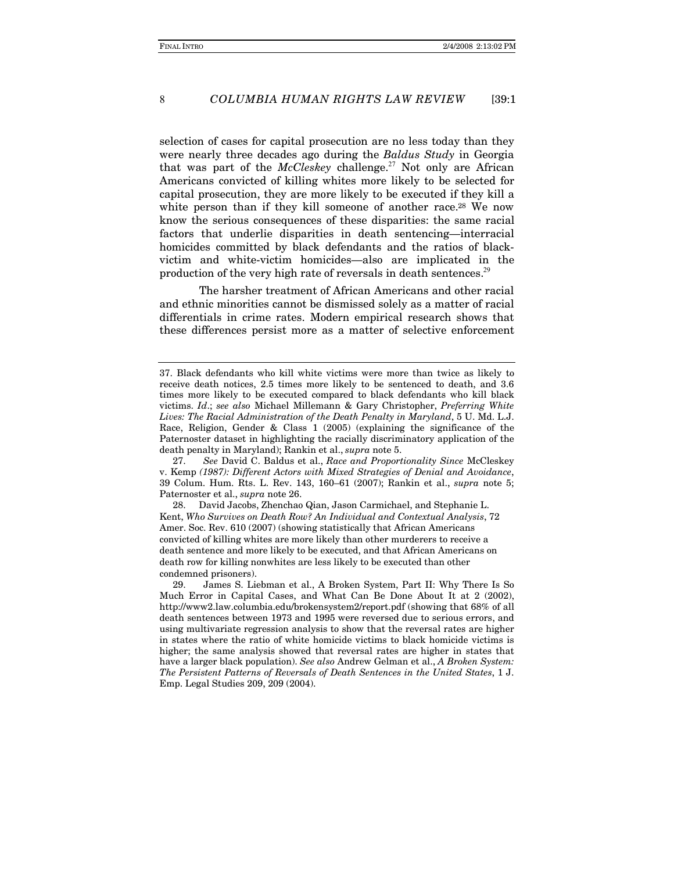#### COLUMBIA HUMAN RIGHTS LAW REVIEW  $139:1$

selection of cases for capital prosecution are no less today than they were nearly three decades ago during the *Baldus Study* in Georgia that was part of the McCleskey challenge.<sup>27</sup> Not only are African Americans convicted of killing whites more likely to be selected for capital prosecution, they are more likely to be executed if they kill a white person than if they kill someone of another race.<sup>28</sup> We now know the serious consequences of these disparities: the same racial factors that underlie disparities in death sentencing—interracial homicides committed by black defendants and the ratios of blackvictim and white-victim homicides—also are implicated in the production of the very high rate of reversals in death sentences.<sup>29</sup>

The harsher treatment of African Americans and other racial and ethnic minorities cannot be dismissed solely as a matter of racial differentials in crime rates. Modern empirical research shows that these differences persist more as a matter of selective enforcement

David Jacobs, Zhenchao Qian, Jason Carmichael, and Stephanie L. 28. Kent, Who Survives on Death Row? An Individual and Contextual Analysis, 72 Amer. Soc. Rev. 610 (2007) (showing statistically that African Americans convicted of killing whites are more likely than other murderers to receive a death sentence and more likely to be executed, and that African Americans on death row for killing nonwhites are less likely to be executed than other condemned prisoners).

29. James S. Liebman et al., A Broken System, Part II: Why There Is So Much Error in Capital Cases, and What Can Be Done About It at 2 (2002), http://www2.law.columbia.edu/brokensystem2/report.pdf (showing that 68% of all death sentences between 1973 and 1995 were reversed due to serious errors, and using multivariate regression analysis to show that the reversal rates are higher in states where the ratio of white homicide victims to black homicide victims is higher; the same analysis showed that reversal rates are higher in states that have a larger black population). See also Andrew Gelman et al., A Broken System: The Persistent Patterns of Reversals of Death Sentences in the United States, 1 J. Emp. Legal Studies 209, 209 (2004).

<sup>37.</sup> Black defendants who kill white victims were more than twice as likely to receive death notices, 2.5 times more likely to be sentenced to death, and 3.6 times more likely to be executed compared to black defendants who kill black victims. Id.; see also Michael Millemann & Gary Christopher, Preferring White Lives: The Racial Administration of the Death Penalty in Maryland, 5 U. Md. L.J. Race, Religion, Gender & Class 1 (2005) (explaining the significance of the Paternoster dataset in highlighting the racially discriminatory application of the death penalty in Maryland); Rankin et al., *supra* note 5.

<sup>27.</sup> See David C. Baldus et al., Race and Proportionality Since McCleskey v. Kemp (1987): Different Actors with Mixed Strategies of Denial and Avoidance, 39 Colum. Hum. Rts. L. Rev. 143, 160-61 (2007); Rankin et al., supra note 5; Paternoster et al., *supra* note 26.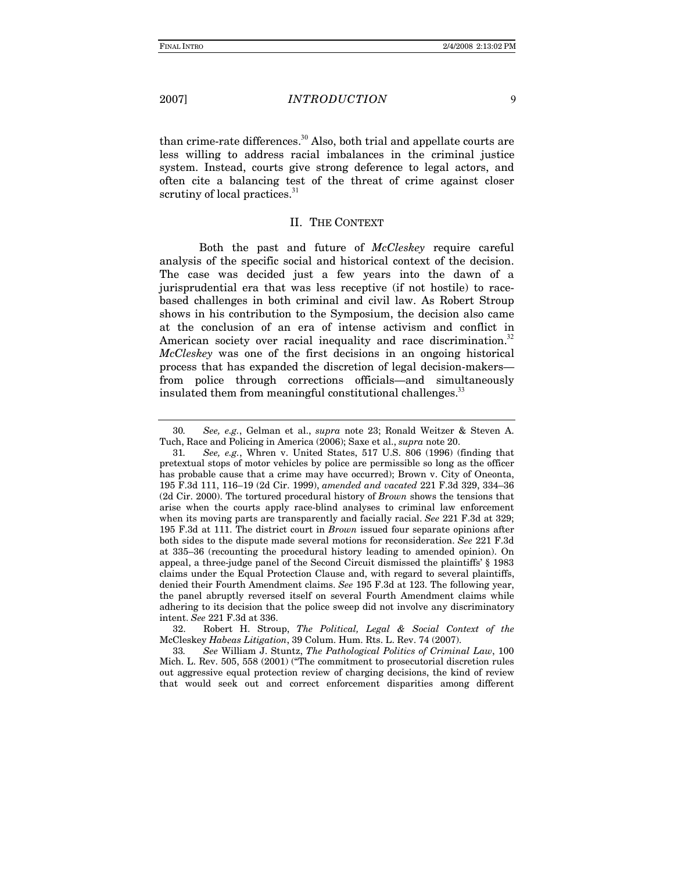*INTRODUCTION* 

than crime-rate differences.<sup>30</sup> Also, both trial and appellate courts are less willing to address racial imbalances in the criminal justice system. Instead, courts give strong deference to legal actors, and often cite a balancing test of the threat of crime against closer scrutiny of local practices.<sup>31</sup>

### **II. THE CONTEXT**

Both the past and future of McCleskey require careful analysis of the specific social and historical context of the decision. The case was decided just a few years into the dawn of a jurisprudential era that was less receptive (if not hostile) to racebased challenges in both criminal and civil law. As Robert Stroup shows in his contribution to the Symposium, the decision also came at the conclusion of an era of intense activism and conflict in American society over racial inequality and race discrimination.<sup>32</sup> McCleskey was one of the first decisions in an ongoing historical process that has expanded the discretion of legal decision-makersfrom police through corrections officials—and simultaneously insulated them from meaningful constitutional challenges.<sup>33</sup>

Robert H. Stroup, The Political, Legal & Social Context of the 32 McCleskey Habeas Litigation, 39 Colum. Hum. Rts. L. Rev. 74 (2007).

33. See William J. Stuntz, The Pathological Politics of Criminal Law, 100 Mich. L. Rev. 505, 558 (2001) ("The commitment to prosecutorial discretion rules out aggressive equal protection review of charging decisions, the kind of review that would seek out and correct enforcement disparities among different

 $\mathbf{Q}$ 

See, e.g., Gelman et al., supra note 23; Ronald Weitzer & Steven A. 30. Tuch, Race and Policing in America (2006); Saxe et al., *supra* note 20.

See, e.g., Whren v. United States, 517 U.S. 806 (1996) (finding that 31. pretextual stops of motor vehicles by police are permissible so long as the officer has probable cause that a crime may have occurred); Brown v. City of Oneonta, 195 F.3d 111, 116-19 (2d Cir. 1999), amended and vacated 221 F.3d 329, 334-36 (2d Cir. 2000). The tortured procedural history of Brown shows the tensions that arise when the courts apply race-blind analyses to criminal law enforcement when its moving parts are transparently and facially racial. See 221 F.3d at 329; 195 F.3d at 111. The district court in *Brown* issued four separate opinions after both sides to the dispute made several motions for reconsideration. See 221 F.3d at 335-36 (recounting the procedural history leading to amended opinion). On appeal, a three-judge panel of the Second Circuit dismissed the plaintiffs' § 1983 claims under the Equal Protection Clause and, with regard to several plaintiffs, denied their Fourth Amendment claims. See 195 F.3d at 123. The following year, the panel abruptly reversed itself on several Fourth Amendment claims while adhering to its decision that the police sweep did not involve any discriminatory intent. See 221 F.3d at 336.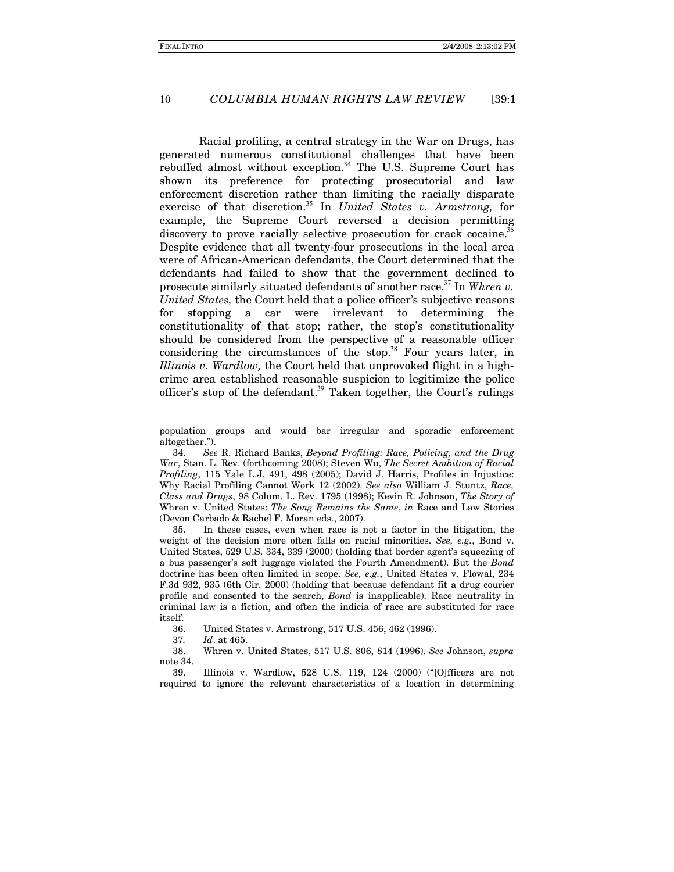#### COLUMBIA HUMAN RIGHTS LAW REVIEW 10  $139:1$

Racial profiling, a central strategy in the War on Drugs, has generated numerous constitutional challenges that have been rebuffed almost without exception.<sup>34</sup> The U.S. Supreme Court has shown its preference for protecting prosecutorial and law enforcement discretion rather than limiting the racially disparate exercise of that discretion.<sup>35</sup> In United States v. Armstrong, for example, the Supreme Court reversed a decision permitting discovery to prove racially selective prosecution for crack cocaine.<sup>36</sup> Despite evidence that all twenty-four prosecutions in the local area were of African-American defendants, the Court determined that the defendants had failed to show that the government declined to prosecute similarly situated defendants of another race.<sup>37</sup> In Whren v. United States, the Court held that a police officer's subjective reasons stopping a car were irrelevant to determining the for constitutionality of that stop; rather, the stop's constitutionality should be considered from the perspective of a reasonable officer considering the circumstances of the stop.<sup>38</sup> Four years later, in Illinois v. Wardlow, the Court held that unprovoked flight in a highcrime area established reasonable suspicion to legitimize the police officer's stop of the defendant.<sup>39</sup> Taken together, the Court's rulings

In these cases, even when race is not a factor in the litigation, the 35. weight of the decision more often falls on racial minorities. See, e.g., Bond v. United States, 529 U.S. 334, 339 (2000) (holding that border agent's squeezing of a bus passenger's soft luggage violated the Fourth Amendment). But the Bond doctrine has been often limited in scope. See, e.g., United States v. Flowal, 234 F.3d 932, 935 (6th Cir. 2000) (holding that because defendant fit a drug courier profile and consented to the search, *Bond* is inapplicable). Race neutrality in criminal law is a fiction, and often the indicia of race are substituted for race itself.

36 United States v. Armstrong, 517 U.S. 456, 462 (1996).

37. Id. at 465.

38. Whren v. United States, 517 U.S. 806, 814 (1996). See Johnson, supra note 34.

Illinois v. Wardlow, 528 U.S. 119, 124 (2000) ("[O]fficers are not 39. required to ignore the relevant characteristics of a location in determining

population groups and would bar irregular and sporadic enforcement altogether.").

See R. Richard Banks, Beyond Profiling: Race, Policing, and the Drug 34. War, Stan. L. Rev. (forthcoming 2008); Steven Wu, The Secret Ambition of Racial Profiling, 115 Yale L.J. 491, 498 (2005); David J. Harris, Profiles in Injustice: Why Racial Profiling Cannot Work 12 (2002). See also William J. Stuntz, Race, Class and Drugs, 98 Colum. L. Rev. 1795 (1998); Kevin R. Johnson, The Story of Whren v. United States: The Song Remains the Same, in Race and Law Stories (Devon Carbado & Rachel F. Moran eds., 2007).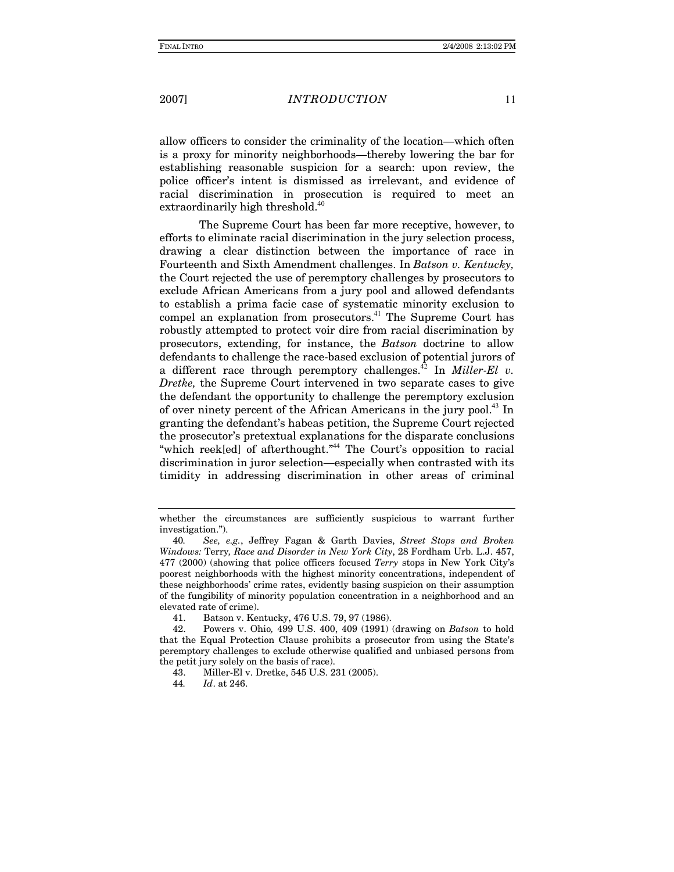*INTRODUCTION* 

allow officers to consider the criminality of the location—which often is a proxy for minority neighborhoods—thereby lowering the bar for establishing reasonable suspicion for a search: upon review, the police officer's intent is dismissed as irrelevant, and evidence of racial discrimination in prosecution is required to meet an extraordinarily high threshold. $40$ 

The Supreme Court has been far more receptive, however, to efforts to eliminate racial discrimination in the jury selection process, drawing a clear distinction between the importance of race in Fourteenth and Sixth Amendment challenges. In Batson v. Kentucky, the Court rejected the use of peremptory challenges by prosecutors to exclude African Americans from a jury pool and allowed defendants to establish a prima facie case of systematic minority exclusion to compel an explanation from prosecutors.<sup>41</sup> The Supreme Court has robustly attempted to protect voir dire from racial discrimination by prosecutors, extending, for instance, the Batson doctrine to allow defendants to challenge the race-based exclusion of potential jurors of a different race through peremptory challenges.<sup>42</sup> In *Miller-El v.* Dretke, the Supreme Court intervened in two separate cases to give the defendant the opportunity to challenge the peremptory exclusion of over ninety percent of the African Americans in the jury pool.<sup>43</sup> In granting the defendant's habeas petition, the Supreme Court rejected the prosecutor's pretextual explanations for the disparate conclusions "which reek[ed] of afterthought."<sup>44</sup> The Court's opposition to racial discrimination in juror selection—especially when contrasted with its timidity in addressing discrimination in other areas of criminal

whether the circumstances are sufficiently suspicious to warrant further investigation.").

<sup>40.</sup> See, e.g., Jeffrey Fagan & Garth Davies, Street Stops and Broken Windows: Terry, Race and Disorder in New York City, 28 Fordham Urb. L.J. 457, 477 (2000) (showing that police officers focused Terry stops in New York City's poorest neighborhoods with the highest minority concentrations, independent of these neighborhoods' crime rates, evidently basing suspicion on their assumption of the fungibility of minority population concentration in a neighborhood and an elevated rate of crime).

<sup>41.</sup> Batson v. Kentucky, 476 U.S. 79, 97 (1986).

<sup>42.</sup> Powers v. Ohio, 499 U.S. 400, 409 (1991) (drawing on Batson to hold that the Equal Protection Clause prohibits a prosecutor from using the State's peremptory challenges to exclude otherwise qualified and unbiased persons from the petit jury solely on the basis of race).

<sup>43.</sup> Miller-El v. Dretke, 545 U.S. 231 (2005).

<sup>44.</sup> Id. at 246.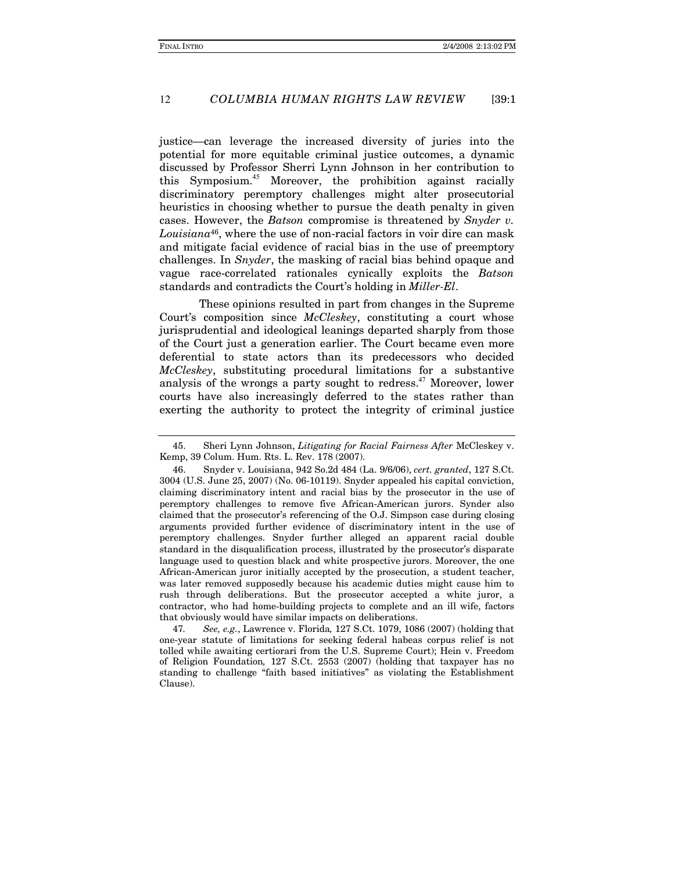#### COLUMBIA HUMAN RIGHTS LAW REVIEW 12  $139:1$

justice—can leverage the increased diversity of juries into the potential for more equitable criminal justice outcomes, a dynamic discussed by Professor Sherri Lynn Johnson in her contribution to this Symposium.<sup>45</sup> Moreover, the prohibition against racially discriminatory peremptory challenges might alter prosecutorial heuristics in choosing whether to pursue the death penalty in given cases. However, the Batson compromise is threatened by Snyder v.  $Louisiana^{46}$ , where the use of non-racial factors in voir dire can mask and mitigate facial evidence of racial bias in the use of preemptory challenges. In Snyder, the masking of racial bias behind opaque and vague race-correlated rationales cynically exploits the Batson standards and contradicts the Court's holding in *Miller-El*.

These opinions resulted in part from changes in the Supreme Court's composition since McCleskey, constituting a court whose jurisprudential and ideological leanings departed sharply from those of the Court just a generation earlier. The Court became even more deferential to state actors than its predecessors who decided McCleskey, substituting procedural limitations for a substantive analysis of the wrongs a party sought to redress.<sup>47</sup> Moreover, lower courts have also increasingly deferred to the states rather than exerting the authority to protect the integrity of criminal justice

See, e.g., Lawrence v. Florida, 127 S.Ct. 1079, 1086 (2007) (holding that 47 one-year statute of limitations for seeking federal habeas corpus relief is not tolled while awaiting certiorari from the U.S. Supreme Court); Hein v. Freedom of Religion Foundation, 127 S.Ct. 2553 (2007) (holding that taxpayer has no standing to challenge "faith based initiatives" as violating the Establishment Clause).

<sup>45.</sup> Sheri Lynn Johnson, Litigating for Racial Fairness After McCleskey v. Kemp, 39 Colum. Hum. Rts. L. Rev. 178 (2007).

<sup>46.</sup> Snyder v. Louisiana, 942 So.2d 484 (La. 9/6/06), cert. granted, 127 S.Ct. 3004 (U.S. June 25, 2007) (No. 06-10119). Snyder appealed his capital conviction, claiming discriminatory intent and racial bias by the prosecutor in the use of peremptory challenges to remove five African-American jurors. Synder also claimed that the prosecutor's referencing of the O.J. Simpson case during closing arguments provided further evidence of discriminatory intent in the use of peremptory challenges. Snyder further alleged an apparent racial double standard in the disqualification process, illustrated by the prosecutor's disparate language used to question black and white prospective jurors. Moreover, the one African-American juror initially accepted by the prosecution, a student teacher, was later removed supposedly because his academic duties might cause him to rush through deliberations. But the prosecutor accepted a white juror, a contractor, who had home-building projects to complete and an ill wife, factors that obviously would have similar impacts on deliberations.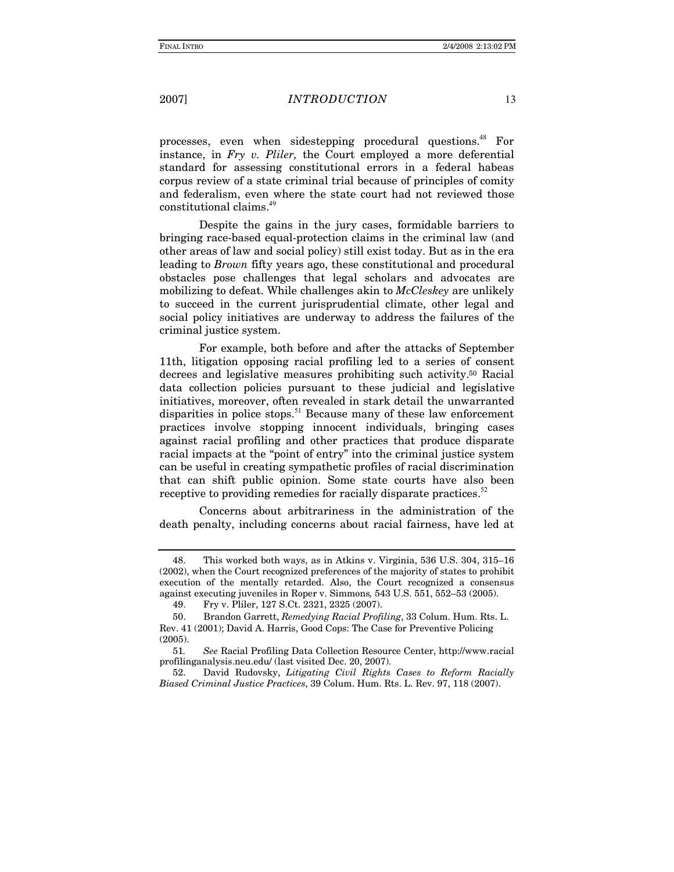### *INTRODUCTION*

processes, even when sidestepping procedural questions.<sup>48</sup> For instance, in Fry v. Pliler, the Court employed a more deferential standard for assessing constitutional errors in a federal habeas corpus review of a state criminal trial because of principles of comity and federalism, even where the state court had not reviewed those constitutional claims.<sup>49</sup>

Despite the gains in the jury cases, formidable barriers to bringing race-based equal-protection claims in the criminal law (and other areas of law and social policy) still exist today. But as in the era leading to *Brown* fifty years ago, these constitutional and procedural obstacles pose challenges that legal scholars and advocates are mobilizing to defeat. While challenges akin to McCleskey are unlikely to succeed in the current jurisprudential climate, other legal and social policy initiatives are underway to address the failures of the criminal justice system.

For example, both before and after the attacks of September 11th, litigation opposing racial profiling led to a series of consent decrees and legislative measures prohibiting such activity.<sup>50</sup> Racial data collection policies pursuant to these judicial and legislative initiatives, moreover, often revealed in stark detail the unwarranted disparities in police stops.<sup>51</sup> Because many of these law enforcement practices involve stopping innocent individuals, bringing cases against racial profiling and other practices that produce disparate racial impacts at the "point of entry" into the criminal justice system can be useful in creating sympathetic profiles of racial discrimination that can shift public opinion. Some state courts have also been receptive to providing remedies for racially disparate practices.<sup>52</sup>

Concerns about arbitrariness in the administration of the death penalty, including concerns about racial fairness, have led at

<sup>48.</sup> This worked both ways, as in Atkins v. Virginia, 536 U.S. 304, 315-16 (2002), when the Court recognized preferences of the majority of states to prohibit execution of the mentally retarded. Also, the Court recognized a consensus against executing juveniles in Roper v. Simmons, 543 U.S. 551, 552-53 (2005).

Fry v. Pliler, 127 S.Ct. 2321, 2325 (2007). 49.

<sup>50.</sup> Brandon Garrett, Remedying Racial Profiling, 33 Colum. Hum. Rts. L. Rev. 41 (2001); David A. Harris, Good Cops: The Case for Preventive Policing  $(2005)$ 

<sup>51.</sup> See Racial Profiling Data Collection Resource Center, http://www.racial profilinganalysis.neu.edu/ (last visited Dec. 20, 2007).

David Rudovsky, Litigating Civil Rights Cases to Reform Racially 52. Biased Criminal Justice Practices, 39 Colum. Hum. Rts. L. Rev. 97, 118 (2007).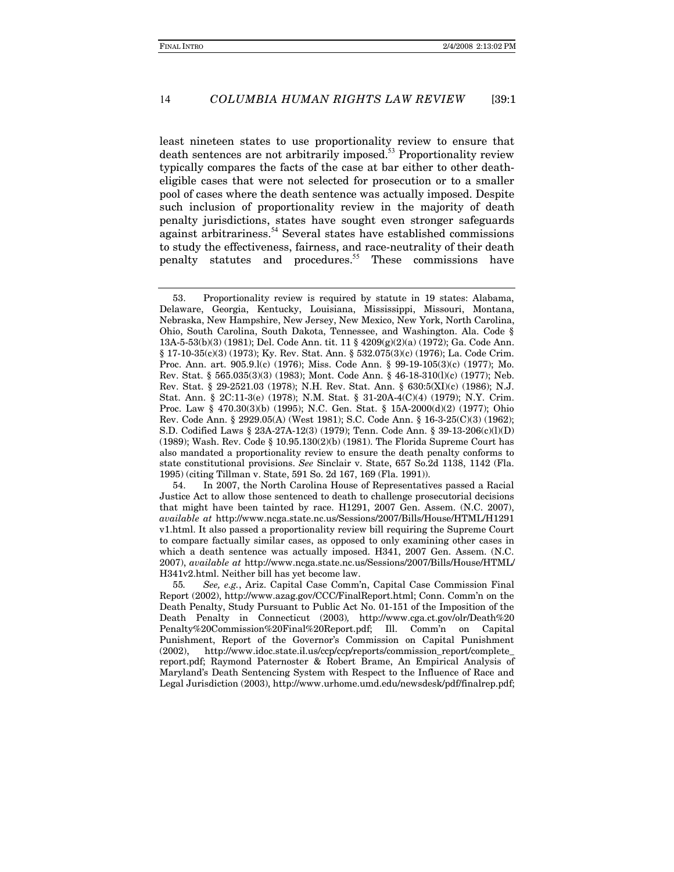#### COLUMBIA HUMAN RIGHTS LAW REVIEW 14  $139:1$

least nineteen states to use proportionality review to ensure that death sentences are not arbitrarily imposed.<sup>53</sup> Proportionality review typically compares the facts of the case at bar either to other deatheligible cases that were not selected for prosecution or to a smaller pool of cases where the death sentence was actually imposed. Despite such inclusion of proportionality review in the majority of death penalty jurisdictions, states have sought even stronger safeguards against arbitrariness.<sup>54</sup> Several states have established commissions to study the effectiveness, fairness, and race-neutrality of their death penalty statutes and procedures.<sup>55</sup> These commissions have

54. In 2007, the North Carolina House of Representatives passed a Racial Justice Act to allow those sentenced to death to challenge prosecutorial decisions that might have been tainted by race. H1291, 2007 Gen. Assem. (N.C. 2007), available at http://www.ncga.state.nc.us/Sessions/2007/Bills/House/HTML/H1291 v1.html. It also passed a proportionality review bill requiring the Supreme Court to compare factually similar cases, as opposed to only examining other cases in which a death sentence was actually imposed. H341, 2007 Gen. Assem. (N.C. 2007), available at http://www.ncga.state.nc.us/Sessions/2007/Bills/House/HTML/ H341v2.html. Neither bill has yet become law.

55. See, e.g., Ariz. Capital Case Comm'n, Capital Case Commission Final Report (2002), http://www.azag.gov/CCC/FinalReport.html; Conn. Comm'n on the Death Penalty, Study Pursuant to Public Act No. 01-151 of the Imposition of the Death Penalty in Connecticut (2003), http://www.cga.ct.gov/olr/Death%20 Penalty%20Commission%20Final%20Report.pdf; Ill. Comm'n on Capital Punishment, Report of the Governor's Commission on Capital Punishment  $(2002)$ . http://www.idoc.state.il.us/ccp/ccp/reports/commission\_report/complete\_ report.pdf; Raymond Paternoster & Robert Brame, An Empirical Analysis of Maryland's Death Sentencing System with Respect to the Influence of Race and Legal Jurisdiction (2003), http://www.urhome.umd.edu/newsdesk/pdf/finalrep.pdf;

<sup>53.</sup> Proportionality review is required by statute in 19 states: Alabama, Delaware, Georgia, Kentucky, Louisiana, Mississippi, Missouri, Montana, Nebraska, New Hampshire, New Jersey, New Mexico, New York, North Carolina, Ohio, South Carolina, South Dakota, Tennessee, and Washington. Ala. Code § 13A-5-53(b)(3) (1981); Del. Code Ann. tit. 11 § 4209(g)(2)(a) (1972); Ga. Code Ann.  $\S 17-10-35(c)(3)$  (1973); Ky. Rev. Stat. Ann.  $\S 532.075(3)(c)$  (1976); La. Code Crim. Proc. Ann. art. 905.9.1(c) (1976); Miss. Code Ann. § 99-19-105(3)(c) (1977); Mo. Rev. Stat. § 565.035(3)(3) (1983); Mont. Code Ann. § 46-18-310(1)(c) (1977); Neb. Rev. Stat. § 29-2521.03 (1978); N.H. Rev. Stat. Ann. § 630:5(XI)(c) (1986); N.J. Stat. Ann. § 2C:11-3(e) (1978); N.M. Stat. § 31-20A-4(C)(4) (1979); N.Y. Crim. Proc. Law § 470.30(3)(b) (1995); N.C. Gen. Stat. § 15A-2000(d)(2) (1977); Ohio Rev. Code Ann. § 2929.05(A) (West 1981); S.C. Code Ann. § 16-3-25(C)(3) (1962); S.D. Codified Laws § 23A-27A-12(3) (1979); Tenn. Code Ann. § 39-13-206(c)(l)(D)  $(1989)$ ; Wash. Rev. Code § 10.95.130(2)(b) (1981). The Florida Supreme Court has also mandated a proportionality review to ensure the death penalty conforms to state constitutional provisions. See Sinclair v. State, 657 So.2d 1138, 1142 (Fla. 1995) (citing Tillman v. State, 591 So. 2d 167, 169 (Fla. 1991)).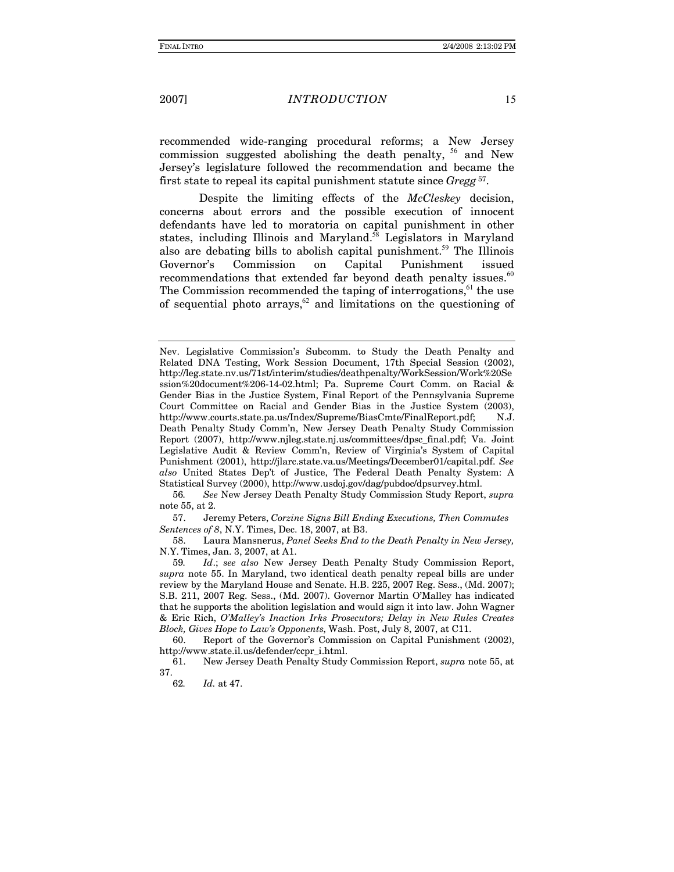### **INTRODUCTION**

recommended wide-ranging procedural reforms; a New Jersey commission suggested abolishing the death penalty, <sup>56</sup> and New Jersey's legislature followed the recommendation and became the first state to repeal its capital punishment statute since Gregg<sup>57</sup>.

Despite the limiting effects of the McCleskey decision, concerns about errors and the possible execution of innocent defendants have led to moratoria on capital punishment in other states, including Illinois and Maryland.<sup>58</sup> Legislators in Maryland also are debating bills to abolish capital punishment.<sup>59</sup> The Illinois Governor's Commission on Capital Punishment issued recommendations that extended far beyond death penalty issues.<sup>60</sup> The Commission recommended the taping of interrogations,<sup>61</sup> the use of sequential photo  $\arrows$  and limitations on the questioning of

56. See New Jersey Death Penalty Study Commission Study Report, supra note 55, at 2.

57. Jeremy Peters, Corzine Signs Bill Ending Executions, Then Commutes Sentences of 8, N.Y. Times, Dec. 18, 2007, at B3.

Laura Mansnerus, Panel Seeks End to the Death Penalty in New Jersey, 58. N.Y. Times, Jan. 3, 2007, at A1.

Id.; see also New Jersey Death Penalty Study Commission Report, 59. supra note 55. In Maryland, two identical death penalty repeal bills are under review by the Maryland House and Senate. H.B. 225, 2007 Reg. Sess., (Md. 2007); S.B. 211, 2007 Reg. Sess., (Md. 2007). Governor Martin O'Malley has indicated that he supports the abolition legislation and would sign it into law. John Wagner & Eric Rich, O'Malley's Inaction Irks Prosecutors; Delay in New Rules Creates Block, Gives Hope to Law's Opponents, Wash. Post, July 8, 2007, at C11.

60. Report of the Governor's Commission on Capital Punishment (2002), http://www.state.il.us/defender/ccpr\_i.html.

New Jersey Death Penalty Study Commission Report, *supra* note 55, at 61. 37.

Nev. Legislative Commission's Subcomm. to Study the Death Penalty and Related DNA Testing, Work Session Document, 17th Special Session (2002), http://leg.state.nv.us/71st/interim/studies/deathpenalty/WorkSession/Work%20Se ssion%20document%206-14-02.html; Pa. Supreme Court Comm. on Racial & Gender Bias in the Justice System, Final Report of the Pennsylvania Supreme Court Committee on Racial and Gender Bias in the Justice System (2003), http://www.courts.state.pa.us/Index/Supreme/BiasCmte/FinalReport.pdf; N.J. Death Penalty Study Comm'n, New Jersey Death Penalty Study Commission Report (2007), http://www.njleg.state.nj.us/committees/dpsc\_final.pdf; Va. Joint Legislative Audit & Review Comm'n, Review of Virginia's System of Capital Punishment (2001), http://jlarc.state.va.us/Meetings/December01/capital.pdf. See also United States Dep't of Justice, The Federal Death Penalty System: A Statistical Survey (2000), http://www.usdoj.gov/dag/pubdoc/dpsurvey.html.

<sup>62.</sup> Id. at 47.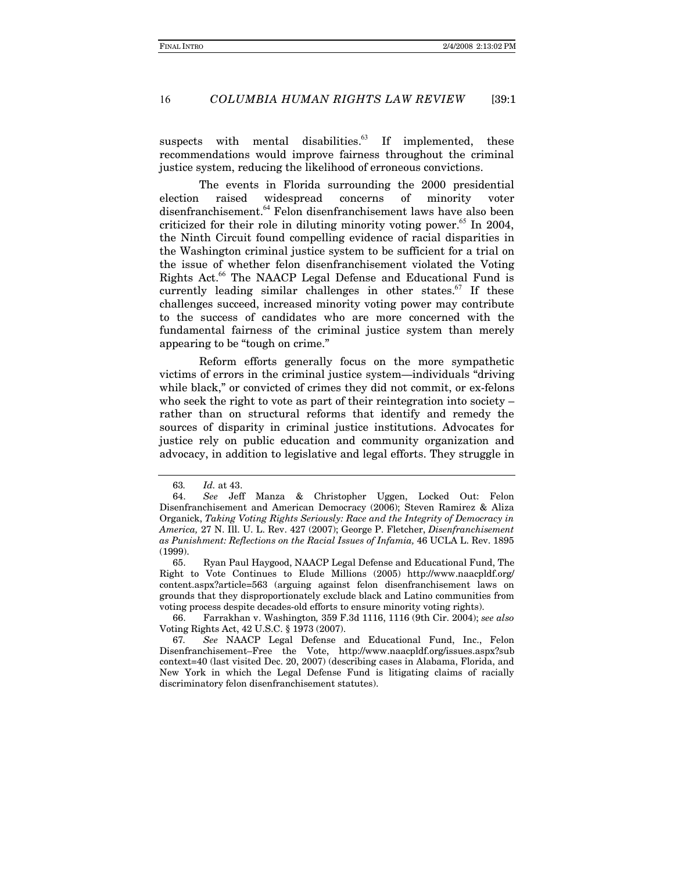#### COLUMBIA HUMAN RIGHTS LAW REVIEW 16  $[39:1]$

suspects with mental disabilities.<sup>63</sup> If implemented, these recommendations would improve fairness throughout the criminal justice system, reducing the likelihood of erroneous convictions.

The events in Florida surrounding the 2000 presidential election widespread concerns minority raised of voter disenfranchisement.<sup>64</sup> Felon disenfranchisement laws have also been criticized for their role in diluting minority voting power.<sup>65</sup> In 2004, the Ninth Circuit found compelling evidence of racial disparities in the Washington criminal justice system to be sufficient for a trial on the issue of whether felon disenfranchisement violated the Voting Rights Act.<sup>66</sup> The NAACP Legal Defense and Educational Fund is currently leading similar challenges in other states. $67$  If these challenges succeed, increased minority voting power may contribute to the success of candidates who are more concerned with the fundamental fairness of the criminal justice system than merely appearing to be "tough on crime."

Reform efforts generally focus on the more sympathetic victims of errors in the criminal justice system—individuals "driving" while black," or convicted of crimes they did not commit, or ex-felons who seek the right to vote as part of their reintegration into society  $$ rather than on structural reforms that identify and remedy the sources of disparity in criminal justice institutions. Advocates for justice rely on public education and community organization and advocacy, in addition to legislative and legal efforts. They struggle in

66. Farrakhan v. Washington, 359 F.3d 1116, 1116 (9th Cir. 2004); see also Voting Rights Act, 42 U.S.C. § 1973 (2007).

<sup>63.</sup> Id. at 43.

<sup>64.</sup> See Jeff Manza & Christopher Uggen, Locked Out: Felon Disenfranchisement and American Democracy (2006); Steven Ramirez & Aliza Organick, Taking Voting Rights Seriously: Race and the Integrity of Democracy in America, 27 N. Ill. U. L. Rev. 427 (2007); George P. Fletcher, Disenfranchisement as Punishment: Reflections on the Racial Issues of Infamia, 46 UCLA L. Rev. 1895  $(1999).$ 

<sup>65.</sup> Ryan Paul Haygood, NAACP Legal Defense and Educational Fund, The Right to Vote Continues to Elude Millions (2005) http://www.naacpldf.org/ content.aspx?article=563 (arguing against felon disenfranchisement laws on grounds that they disproportionately exclude black and Latino communities from voting process despite decades-old efforts to ensure minority voting rights).

<sup>67.</sup> See NAACP Legal Defense and Educational Fund, Inc., Felon Disenfranchisement-Free the Vote, http://www.naacpldf.org/issues.aspx?sub context=40 (last visited Dec. 20, 2007) (describing cases in Alabama, Florida, and New York in which the Legal Defense Fund is litigating claims of racially discriminatory felon disenfranchisement statutes).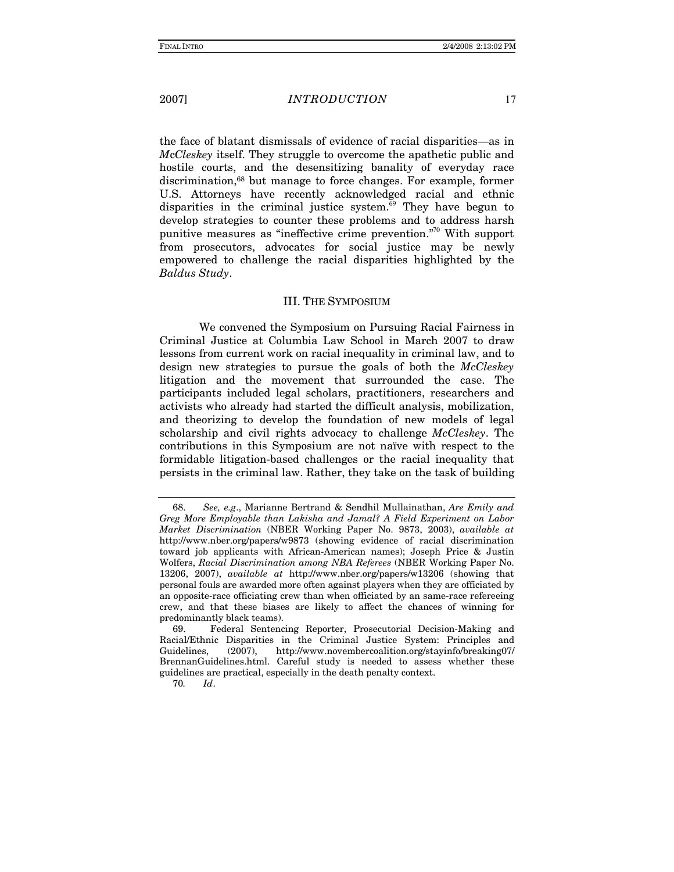### *INTRODUCTION*

the face of blatant dismissals of evidence of racial disparities—as in McCleskey itself. They struggle to overcome the apathetic public and hostile courts, and the desensitizing banality of everyday race discrimination,<sup>68</sup> but manage to force changes. For example, former U.S. Attorneys have recently acknowledged racial and ethnic disparities in the criminal justice system.<sup>69</sup> They have begun to develop strategies to counter these problems and to address harsh punitive measures as "ineffective crime prevention."<sup>70</sup> With support from prosecutors, advocates for social justice may be newly empowered to challenge the racial disparities highlighted by the Baldus Study.

#### **III. THE SYMPOSIUM**

We convened the Symposium on Pursuing Racial Fairness in Criminal Justice at Columbia Law School in March 2007 to draw lessons from current work on racial inequality in criminal law, and to design new strategies to pursue the goals of both the McCleskey litigation and the movement that surrounded the case. The participants included legal scholars, practitioners, researchers and activists who already had started the difficult analysis, mobilization, and theorizing to develop the foundation of new models of legal scholarship and civil rights advocacy to challenge McCleskey. The contributions in this Symposium are not naïve with respect to the formidable litigation-based challenges or the racial inequality that persists in the criminal law. Rather, they take on the task of building

70.  $Id.$ 

See, e.g., Marianne Bertrand & Sendhil Mullainathan, Are Emily and 68. Greg More Employable than Lakisha and Jamal? A Field Experiment on Labor Market Discrimination (NBER Working Paper No. 9873, 2003), available at http://www.nber.org/papers/w9873 (showing evidence of racial discrimination toward job applicants with African-American names); Joseph Price & Justin Wolfers, Racial Discrimination among NBA Referees (NBER Working Paper No. 13206, 2007), available at http://www.nber.org/papers/w13206 (showing that personal fouls are awarded more often against players when they are officiated by an opposite-race officiating crew than when officiated by an same-race refereeing crew, and that these biases are likely to affect the chances of winning for predominantly black teams).

Federal Sentencing Reporter, Prosecutorial Decision-Making and 69 Racial/Ethnic Disparities in the Criminal Justice System: Principles and Guidelines.  $(2007),$ http://www.novembercoalition.org/stayinfo/breaking07/ BrennanGuidelines.html. Careful study is needed to assess whether these guidelines are practical, especially in the death penalty context.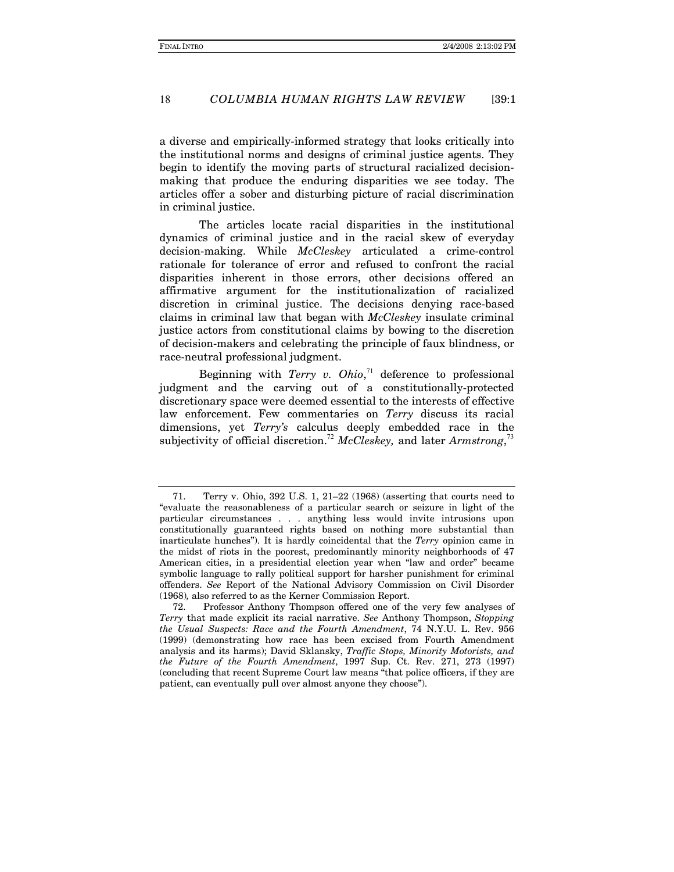#### COLUMBIA HUMAN RIGHTS LAW REVIEW 18  $139:1$

a diverse and empirically-informed strategy that looks critically into the institutional norms and designs of criminal justice agents. They begin to identify the moving parts of structural racialized decisionmaking that produce the enduring disparities we see today. The articles offer a sober and disturbing picture of racial discrimination in criminal justice.

The articles locate racial disparities in the institutional dynamics of criminal justice and in the racial skew of everyday decision-making. While McCleskey articulated a crime-control rationale for tolerance of error and refused to confront the racial disparities inherent in those errors, other decisions offered an affirmative argument for the institutionalization of racialized discretion in criminal justice. The decisions denying race-based claims in criminal law that began with McCleskey insulate criminal justice actors from constitutional claims by bowing to the discretion of decision-makers and celebrating the principle of faux blindness, or race-neutral professional judgment.

Beginning with Terry v.  $Ohio, ^{71}$  deference to professional judgment and the carving out of a constitutionally-protected discretionary space were deemed essential to the interests of effective law enforcement. Few commentaries on Terry discuss its racial dimensions, yet *Terry's* calculus deeply embedded race in the subjectivity of official discretion.<sup>72</sup> McCleskey, and later Armstrong,<sup>73</sup>

Terry v. Ohio, 392 U.S. 1, 21-22 (1968) (asserting that courts need to 71. "evaluate the reasonableness of a particular search or seizure in light of the particular circumstances . . . anything less would invite intrusions upon constitutionally guaranteed rights based on nothing more substantial than inarticulate hunches"). It is hardly coincidental that the Terry opinion came in the midst of riots in the poorest, predominantly minority neighborhoods of 47 American cities, in a presidential election year when "law and order" became symbolic language to rally political support for harsher punishment for criminal offenders. See Report of the National Advisory Commission on Civil Disorder (1968), also referred to as the Kerner Commission Report.

<sup>72.</sup> Professor Anthony Thompson offered one of the very few analyses of Terry that made explicit its racial narrative. See Anthony Thompson, Stopping the Usual Suspects: Race and the Fourth Amendment, 74 N.Y.U. L. Rev. 956 (1999) (demonstrating how race has been excised from Fourth Amendment analysis and its harms); David Sklansky, Traffic Stops, Minority Motorists, and the Future of the Fourth Amendment, 1997 Sup. Ct. Rev. 271, 273 (1997) (concluding that recent Supreme Court law means "that police officers, if they are patient, can eventually pull over almost anyone they choose").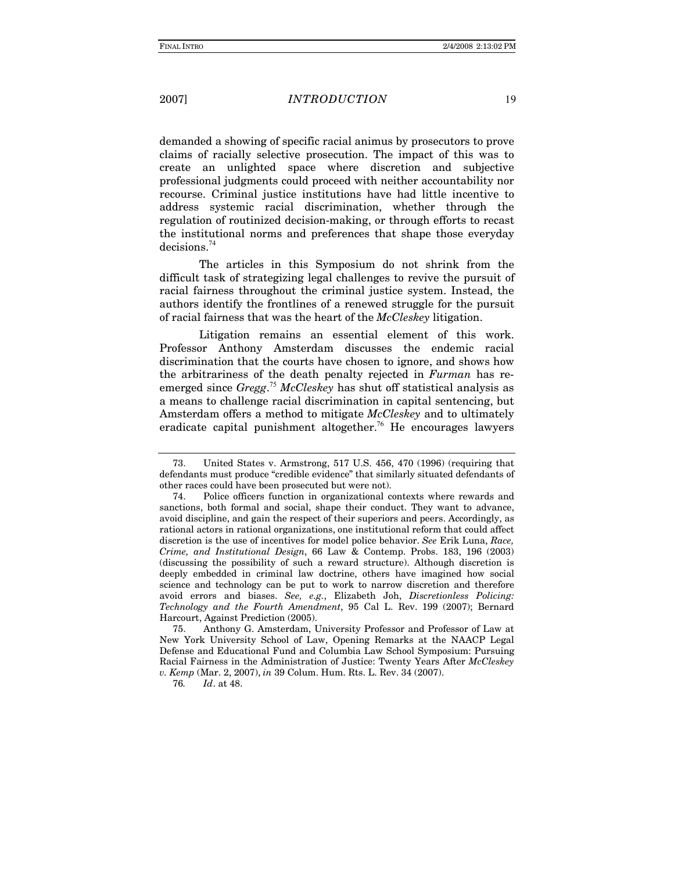### *INTRODUCTION*

demanded a showing of specific racial animus by prosecutors to prove claims of racially selective prosecution. The impact of this was to create an unlighted space where discretion and subjective professional judgments could proceed with neither accountability nor recourse. Criminal justice institutions have had little incentive to address systemic racial discrimination, whether through the regulation of routinized decision-making, or through efforts to recast the institutional norms and preferences that shape those everyday  $decisions.<sup>74</sup>$ 

The articles in this Symposium do not shrink from the difficult task of strategizing legal challenges to revive the pursuit of racial fairness throughout the criminal justice system. Instead, the authors identify the frontlines of a renewed struggle for the pursuit of racial fairness that was the heart of the McCleskey litigation.

Litigation remains an essential element of this work. Professor Anthony Amsterdam discusses the endemic racial discrimination that the courts have chosen to ignore, and shows how the arbitrariness of the death penalty rejected in Furman has reemerged since  $Gregg$ .<sup>75</sup> McCleskey has shut off statistical analysis as a means to challenge racial discrimination in capital sentencing, but Amsterdam offers a method to mitigate McCleskey and to ultimately eradicate capital punishment altogether.<sup>76</sup> He encourages lawyers

76.  $Id.$  at 48.

<sup>73.</sup> United States v. Armstrong, 517 U.S. 456, 470 (1996) (requiring that defendants must produce "credible evidence" that similarly situated defendants of other races could have been prosecuted but were not).

<sup>74.</sup> Police officers function in organizational contexts where rewards and sanctions, both formal and social, shape their conduct. They want to advance, avoid discipline, and gain the respect of their superiors and peers. Accordingly, as rational actors in rational organizations, one institutional reform that could affect discretion is the use of incentives for model police behavior. See Erik Luna, Race, Crime, and Institutional Design, 66 Law & Contemp. Probs. 183, 196 (2003) (discussing the possibility of such a reward structure). Although discretion is deeply embedded in criminal law doctrine, others have imagined how social science and technology can be put to work to narrow discretion and therefore avoid errors and biases. See, e.g., Elizabeth Joh, Discretionless Policing: Technology and the Fourth Amendment, 95 Cal L. Rev. 199 (2007); Bernard Harcourt, Against Prediction (2005).

Anthony G. Amsterdam, University Professor and Professor of Law at 75 New York University School of Law, Opening Remarks at the NAACP Legal Defense and Educational Fund and Columbia Law School Symposium: Pursuing Racial Fairness in the Administration of Justice: Twenty Years After McCleskey v. Kemp (Mar. 2, 2007), in 39 Colum. Hum. Rts. L. Rev. 34 (2007).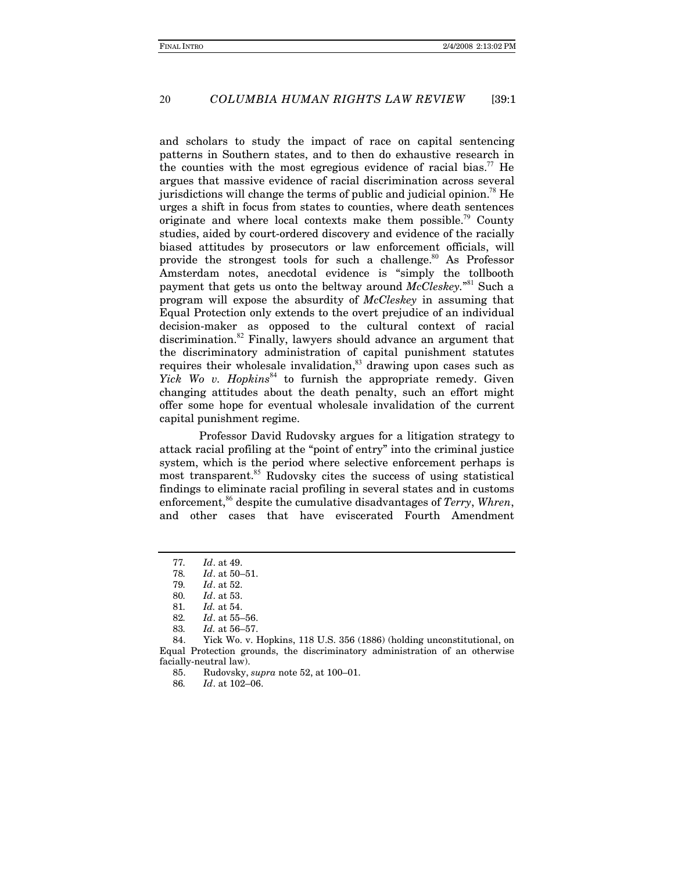#### COLUMBIA HUMAN RIGHTS LAW REVIEW 20  $139:1$

and scholars to study the impact of race on capital sentencing patterns in Southern states, and to then do exhaustive research in the counties with the most egregious evidence of racial bias." He argues that massive evidence of racial discrimination across several jurisdictions will change the terms of public and judicial opinion.<sup>78</sup> He urges a shift in focus from states to counties, where death sentences originate and where local contexts make them possible.<sup>79</sup> County studies, aided by court-ordered discovery and evidence of the racially biased attitudes by prosecutors or law enforcement officials, will provide the strongest tools for such a challenge.<sup>80</sup> As Professor Amsterdam notes, anecdotal evidence is "simply the tollbooth payment that gets us onto the beltway around McCleskey."<sup>81</sup> Such a program will expose the absurdity of McCleskey in assuming that Equal Protection only extends to the overt prejudice of an individual decision-maker as opposed to the cultural context of racial discrimination.<sup>82</sup> Finally, lawyers should advance an argument that the discriminatory administration of capital punishment statutes requires their wholesale invalidation,<sup>83</sup> drawing upon cases such as Yick Wo v. Hopkins<sup>84</sup> to furnish the appropriate remedy. Given changing attitudes about the death penalty, such an effort might offer some hope for eventual wholesale invalidation of the current capital punishment regime.

Professor David Rudovsky argues for a litigation strategy to attack racial profiling at the "point of entry" into the criminal justice system, which is the period where selective enforcement perhaps is most transparent.<sup>85</sup> Rudovsky cites the success of using statistical findings to eliminate racial profiling in several states and in customs enforcement,<sup>86</sup> despite the cumulative disadvantages of *Terry*, *Whren*, and other cases that have eviscerated Fourth Amendment

<sup>77.</sup> Id. at 49.

 $Id.$  at  $50 - 51.$ 78.

<sup>79.</sup> Id. at 52.

Id. at 53. 80.

<sup>81.</sup> Id. at 54.

Id. at 55-56. 82.

<sup>83.</sup> Id. at 56-57.

<sup>84.</sup> Yick Wo. v. Hopkins, 118 U.S. 356 (1886) (holding unconstitutional, on Equal Protection grounds, the discriminatory administration of an otherwise facially-neutral law).

Rudovsky, supra note 52, at 100-01. 85.

<sup>86.</sup> Id. at 102-06.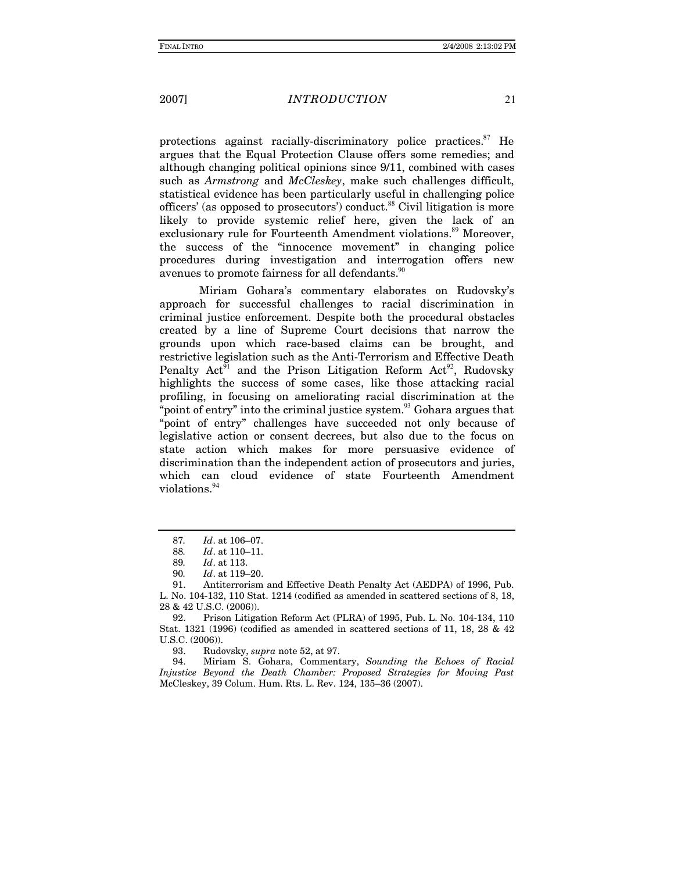### *INTRODUCTION*

protections against racially-discriminatory police practices.<sup>87</sup> He argues that the Equal Protection Clause offers some remedies; and although changing political opinions since 9/11, combined with cases such as Armstrong and McCleskey, make such challenges difficult, statistical evidence has been particularly useful in challenging police officers' (as opposed to prosecutors') conduct.<sup>88</sup> Civil litigation is more likely to provide systemic relief here, given the lack of an exclusionary rule for Fourteenth Amendment violations.<sup>89</sup> Moreover, the success of the "innocence movement" in changing police procedures during investigation and interrogation offers new avenues to promote fairness for all defendants.<sup>90</sup>

Miriam Gohara's commentary elaborates on Rudovsky's approach for successful challenges to racial discrimination in criminal justice enforcement. Despite both the procedural obstacles created by a line of Supreme Court decisions that narrow the grounds upon which race-based claims can be brought, and restrictive legislation such as the Anti-Terrorism and Effective Death Penalty Act<sup>91</sup> and the Prison Litigation Reform Act<sup>92</sup>, Rudovsky highlights the success of some cases, like those attacking racial profiling, in focusing on ameliorating racial discrimination at the "point of entry" into the criminal justice system.<sup>93</sup> Gohara argues that "point of entry" challenges have succeeded not only because of legislative action or consent decrees, but also due to the focus on state action which makes for more persuasive evidence of discrimination than the independent action of prosecutors and juries, which can cloud evidence of state Fourteenth Amendment violations.<sup>94</sup>

<sup>87.</sup> Id. at 106-07.

<sup>88.</sup> Id. at 110-11.

<sup>89.</sup> Id. at 113.

<sup>90</sup> Id. at 119-20.

<sup>91.</sup> Antiterrorism and Effective Death Penalty Act (AEDPA) of 1996, Pub. L. No. 104-132, 110 Stat. 1214 (codified as amended in scattered sections of 8, 18, 28 & 42 U.S.C. (2006)).

Prison Litigation Reform Act (PLRA) of 1995, Pub. L. No. 104-134, 110 92. Stat. 1321 (1996) (codified as amended in scattered sections of 11, 18, 28 & 42  $U.S.C. (2006)$ ).

<sup>93.</sup> Rudovsky, *supra* note 52, at 97.

<sup>94.</sup> Miriam S. Gohara, Commentary, Sounding the Echoes of Racial Injustice Beyond the Death Chamber: Proposed Strategies for Moving Past McCleskey, 39 Colum. Hum. Rts. L. Rev. 124, 135-36 (2007).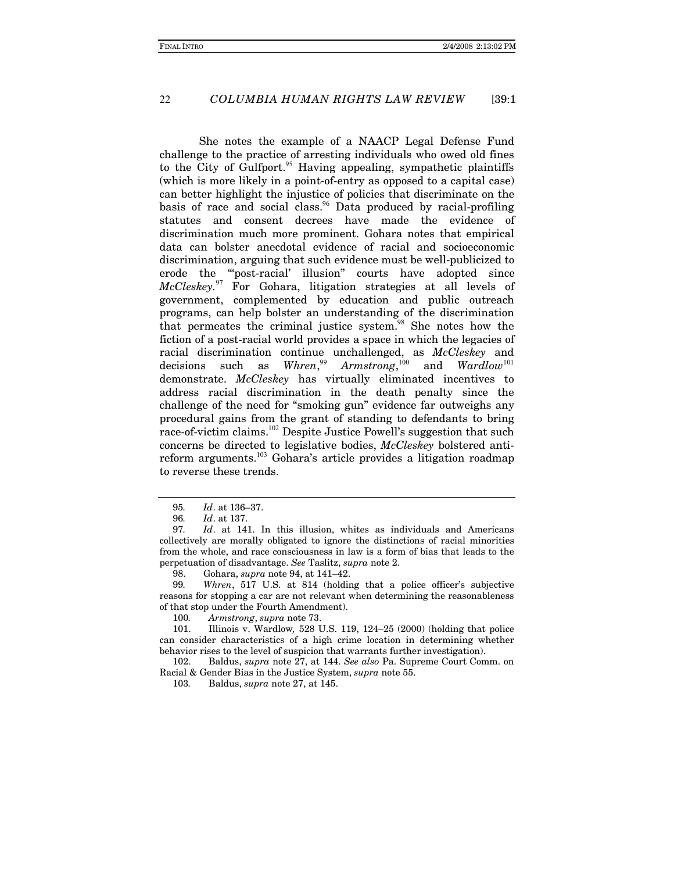#### COLUMBIA HUMAN RIGHTS LAW REVIEW 22  $139:1$

She notes the example of a NAACP Legal Defense Fund challenge to the practice of arresting individuals who owed old fines to the City of Gulfport.<sup>95</sup> Having appealing, sympathetic plaintiffs (which is more likely in a point-of-entry as opposed to a capital case) can better highlight the injustice of policies that discriminate on the basis of race and social class.<sup>96</sup> Data produced by racial-profiling statutes and consent decrees have made the evidence of discrimination much more prominent. Gohara notes that empirical data can bolster anecdotal evidence of racial and socioeconomic discrimination, arguing that such evidence must be well-publicized to erode the "post-racial' illusion" courts have adopted since McCleskey.<sup>97</sup> For Gohara, litigation strategies at all levels of government, complemented by education and public outreach programs, can help bolster an understanding of the discrimination that permeates the criminal justice system.<sup>98</sup> She notes how the fiction of a post-racial world provides a space in which the legacies of racial discrimination continue unchallenged, as McCleskey and  $Whren<sup>99</sup>, Armstrong<sup>100</sup>, and Wardlow<sup>101</sup>$ decisions such as demonstrate. McCleskey has virtually eliminated incentives to address racial discrimination in the death penalty since the challenge of the need for "smoking gun" evidence far outweighs any procedural gains from the grant of standing to defendants to bring race-of-victim claims.<sup>102</sup> Despite Justice Powell's suggestion that such concerns be directed to legislative bodies, McCleskey bolstered antireform arguments.<sup>103</sup> Gohara's article provides a litigation roadmap to reverse these trends.

98. Gohara, supra note 94, at 141-42.

99. Whren, 517 U.S. at 814 (holding that a police officer's subjective reasons for stopping a car are not relevant when determining the reasonableness of that stop under the Fourth Amendment).

100. Armstrong, supra note 73.

101. Illinois v. Wardlow, 528 U.S. 119, 124-25 (2000) (holding that police can consider characteristics of a high crime location in determining whether behavior rises to the level of suspicion that warrants further investigation).

102. Baldus, *supra* note 27, at 144. See also Pa. Supreme Court Comm. on Racial & Gender Bias in the Justice System, supra note 55.

103. Baldus, *supra* note 27, at 145.

<sup>95.</sup> Id. at 136-37.

<sup>96.</sup> Id. at 137.

<sup>97.</sup> Id. at 141. In this illusion, whites as individuals and Americans collectively are morally obligated to ignore the distinctions of racial minorities from the whole, and race consciousness in law is a form of bias that leads to the perpetuation of disadvantage. See Taslitz, supra note 2.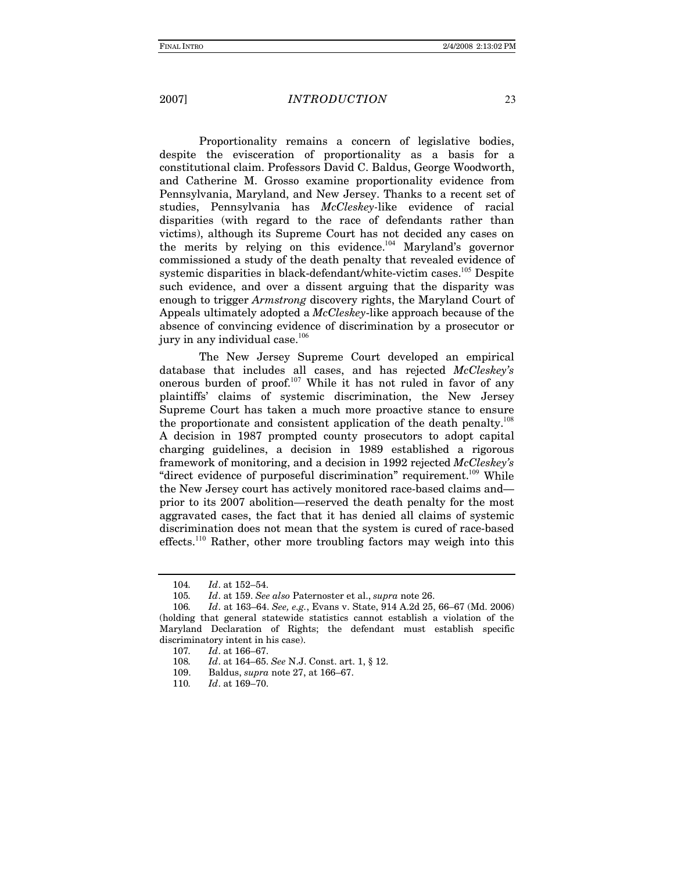### **INTRODUCTION**

Proportionality remains a concern of legislative bodies, despite the evisceration of proportionality as a basis for a constitutional claim. Professors David C. Baldus, George Woodworth, and Catherine M. Grosso examine proportionality evidence from Pennsylvania, Maryland, and New Jersey. Thanks to a recent set of studies, Pennsylvania has McCleskey-like evidence of racial disparities (with regard to the race of defendants rather than victims), although its Supreme Court has not decided any cases on the merits by relying on this evidence.<sup>104</sup> Maryland's governor commissioned a study of the death penalty that revealed evidence of systemic disparities in black-defendant/white-victim cases.<sup>105</sup> Despite such evidence, and over a dissent arguing that the disparity was enough to trigger *Armstrong* discovery rights, the Maryland Court of Appeals ultimately adopted a *McCleskey*-like approach because of the absence of convincing evidence of discrimination by a prosecutor or jury in any individual case.<sup>106</sup>

The New Jersey Supreme Court developed an empirical database that includes all cases, and has rejected McCleskey's onerous burden of proof.<sup>107</sup> While it has not ruled in favor of any plaintiffs' claims of systemic discrimination, the New Jersey Supreme Court has taken a much more proactive stance to ensure the proportionate and consistent application of the death penalty.<sup>108</sup> A decision in 1987 prompted county prosecutors to adopt capital charging guidelines, a decision in 1989 established a rigorous framework of monitoring, and a decision in 1992 rejected McCleskey's "direct evidence of purposeful discrimination" requirement.<sup>109</sup> While the New Jersey court has actively monitored race-based claims andprior to its 2007 abolition—reserved the death penalty for the most aggravated cases, the fact that it has denied all claims of systemic discrimination does not mean that the system is cured of race-based effects.<sup>110</sup> Rather, other more troubling factors may weigh into this

<sup>104.</sup> Id. at 152-54.

<sup>105.</sup> Id. at 159. See also Paternoster et al., supra note 26.

Id. at 163-64. See, e.g., Evans v. State, 914 A.2d 25, 66-67 (Md. 2006) 106. (holding that general statewide statistics cannot establish a violation of the Maryland Declaration of Rights; the defendant must establish specific discriminatory intent in his case).

<sup>107.</sup> Id. at 166-67.

<sup>108.</sup> *Id.* at 164–65. See N.J. Const. art. 1, § 12.

<sup>109.</sup> Baldus, *supra* note 27, at 166-67.

 $Id.$  at 169-70. 110.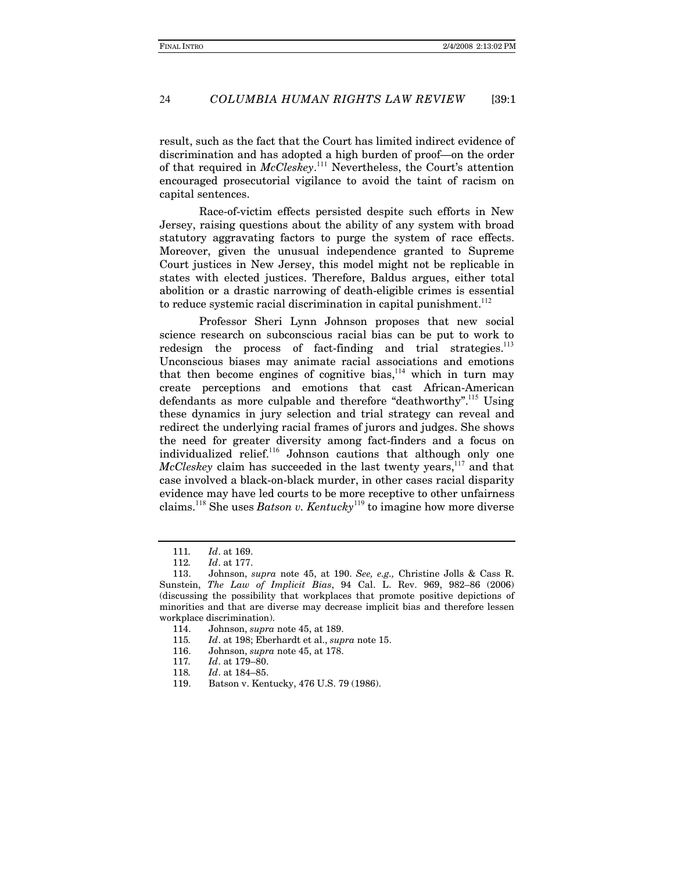#### COLUMBIA HUMAN RIGHTS LAW REVIEW 24  $139:1$

result, such as the fact that the Court has limited indirect evidence of discrimination and has adopted a high burden of proof—on the order of that required in McCleskey.<sup>111</sup> Nevertheless, the Court's attention encouraged prosecutorial vigilance to avoid the taint of racism on capital sentences.

Race-of-victim effects persisted despite such efforts in New Jersey, raising questions about the ability of any system with broad statutory aggravating factors to purge the system of race effects. Moreover, given the unusual independence granted to Supreme Court justices in New Jersey, this model might not be replicable in states with elected justices. Therefore, Baldus argues, either total abolition or a drastic narrowing of death-eligible crimes is essential to reduce systemic racial discrimination in capital punishment.<sup>112</sup>

Professor Sheri Lynn Johnson proposes that new social science research on subconscious racial bias can be put to work to redesign the process of fact-finding and trial strategies.<sup>113</sup> Unconscious biases may animate racial associations and emotions that then become engines of cognitive bias,<sup>114</sup> which in turn may create perceptions and emotions that cast African-American defendants as more culpable and therefore "deathworthy".<sup>115</sup> Using these dynamics in jury selection and trial strategy can reveal and redirect the underlying racial frames of jurors and judges. She shows the need for greater diversity among fact-finders and a focus on individualized relief.<sup>116</sup> Johnson cautions that although only one McCleskey claim has succeeded in the last twenty years, 117 and that case involved a black-on-black murder, in other cases racial disparity evidence may have led courts to be more receptive to other unfairness claims.<sup>118</sup> She uses *Batson v. Kentucky*<sup>119</sup> to imagine how more diverse

<sup>111.</sup> Id. at 169.

<sup>112.</sup> Id. at 177.

Johnson, supra note 45, at 190. See, e.g., Christine Jolls & Cass R. 113. Sunstein, The Law of Implicit Bias, 94 Cal. L. Rev. 969, 982-86 (2006) (discussing the possibility that workplaces that promote positive depictions of minorities and that are diverse may decrease implicit bias and therefore lessen workplace discrimination).

<sup>114.</sup> Johnson, *supra* note 45, at 189.

Id. at 198; Eberhardt et al., supra note 15. 115.

<sup>116.</sup> Johnson, *supra* note 45, at 178.

<sup>117.</sup> Id. at 179-80.

<sup>118.</sup> Id. at 184-85.

<sup>119.</sup> Batson v. Kentucky, 476 U.S. 79 (1986).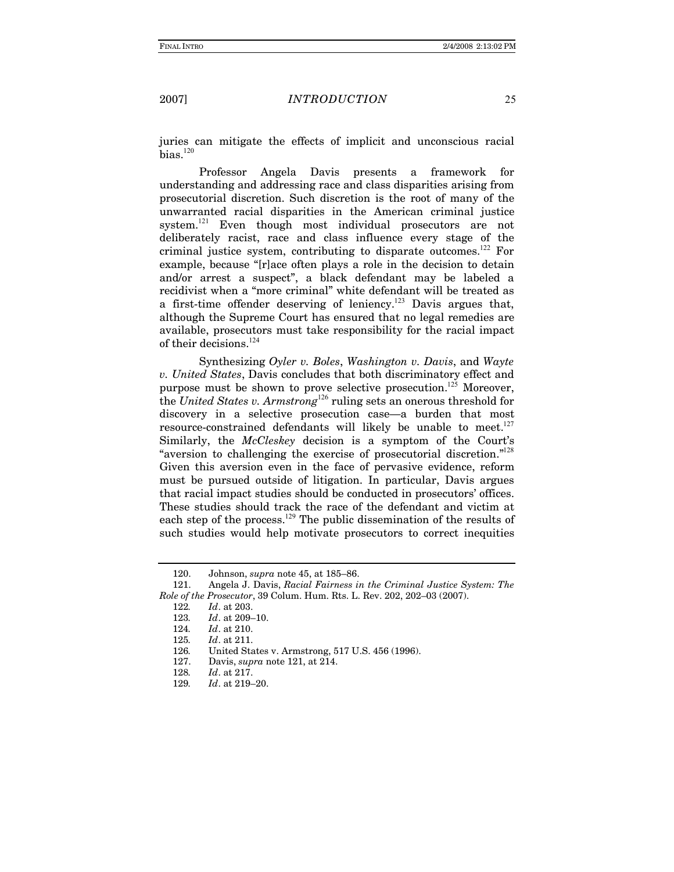### *INTRODUCTION*

juries can mitigate the effects of implicit and unconscious racial  $bias.<sup>120</sup>$ 

Professor Angela Davis presents a framework for understanding and addressing race and class disparities arising from prosecutorial discretion. Such discretion is the root of many of the unwarranted racial disparities in the American criminal justice system.<sup>121</sup> Even though most individual prosecutors are not deliberately racist, race and class influence every stage of the criminal justice system, contributing to disparate outcomes.<sup>122</sup> For example, because "[r] ace often plays a role in the decision to detain and/or arrest a suspect", a black defendant may be labeled a recidivist when a "more criminal" white defendant will be treated as a first-time offender deserving of leniency.<sup>123</sup> Davis argues that, although the Supreme Court has ensured that no legal remedies are available, prosecutors must take responsibility for the racial impact of their decisions.  $^{124}$ 

Synthesizing Oyler v. Boles, Washington v. Davis, and Wayte v. United States, Davis concludes that both discriminatory effect and purpose must be shown to prove selective prosecution.<sup>125</sup> Moreover, the United States v. Armstrong<sup>126</sup> ruling sets an onerous threshold for discovery in a selective prosecution case-a burden that most resource-constrained defendants will likely be unable to meet.<sup>127</sup> Similarly, the McCleskey decision is a symptom of the Court's "aversion to challenging the exercise of prosecutorial discretion."<sup>128</sup> Given this aversion even in the face of pervasive evidence, reform must be pursued outside of litigation. In particular, Davis argues that racial impact studies should be conducted in prosecutors' offices. These studies should track the race of the defendant and victim at each step of the process.<sup>129</sup> The public dissemination of the results of such studies would help motivate prosecutors to correct inequities

<sup>120.</sup> Johnson, *supra* note 45, at 185-86.

<sup>121.</sup> Angela J. Davis, Racial Fairness in the Criminal Justice System: The Role of the Prosecutor, 39 Colum. Hum. Rts. L. Rev. 202, 202-03 (2007).

<sup>122.</sup> Id. at 203.

 $Id.$  at 209-10. 123.

<sup>124.</sup> Id. at 210.

<sup>125.</sup> Id. at 211.

<sup>126.</sup> United States v. Armstrong, 517 U.S. 456 (1996).

<sup>127.</sup> Davis, *supra* note 121, at 214.

Id. at 217. 128.

<sup>129.</sup> Id. at 219-20.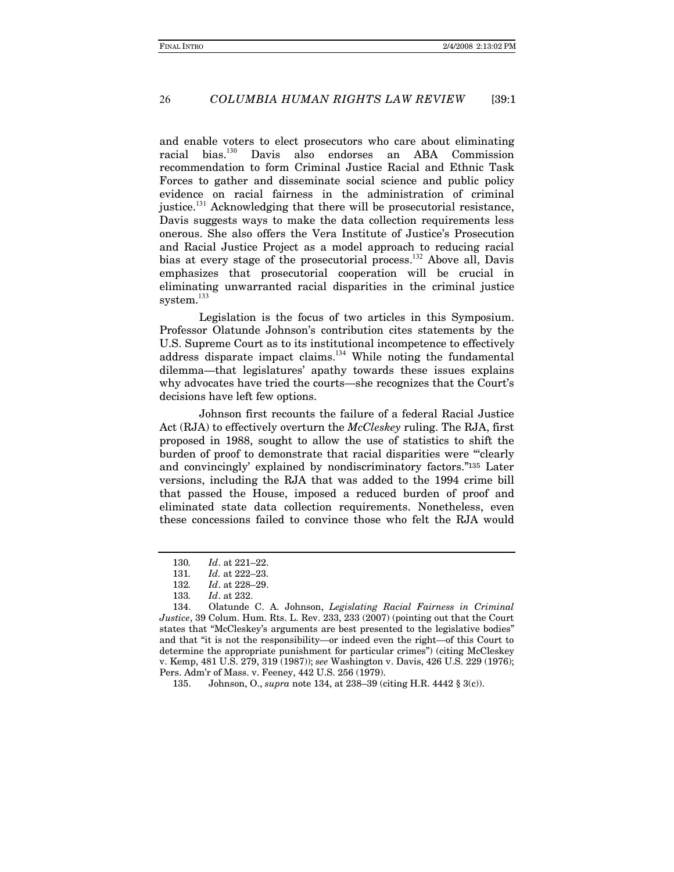#### COLUMBIA HUMAN RIGHTS LAW REVIEW 26  $139:1$

and enable voters to elect prosecutors who care about eliminating bias.<sup>130</sup> Davis also endorses an ABA Commission racial recommendation to form Criminal Justice Racial and Ethnic Task Forces to gather and disseminate social science and public policy evidence on racial fairness in the administration of criminal justice.<sup>131</sup> Acknowledging that there will be prosecutorial resistance, Davis suggests ways to make the data collection requirements less onerous. She also offers the Vera Institute of Justice's Prosecution and Racial Justice Project as a model approach to reducing racial bias at every stage of the prosecutorial process.<sup>132</sup> Above all, Davis emphasizes that prosecutorial cooperation will be crucial in eliminating unwarranted racial disparities in the criminal justice system. $^{133}$ 

Legislation is the focus of two articles in this Symposium. Professor Olatunde Johnson's contribution cites statements by the U.S. Supreme Court as to its institutional incompetence to effectively address disparate impact claims.<sup>134</sup> While noting the fundamental dilemma—that legislatures' apathy towards these issues explains why advocates have tried the courts—she recognizes that the Court's decisions have left few options.

Johnson first recounts the failure of a federal Racial Justice Act (RJA) to effectively overturn the McCleskey ruling. The RJA, first proposed in 1988, sought to allow the use of statistics to shift the burden of proof to demonstrate that racial disparities were "clearly and convincingly' explained by nondiscriminatory factors."135 Later versions, including the RJA that was added to the 1994 crime bill that passed the House, imposed a reduced burden of proof and eliminated state data collection requirements. Nonetheless, even these concessions failed to convince those who felt the RJA would

135. Johnson, O., *supra* note 134, at 238-39 (citing H.R. 4442 § 3(c)).

Id. at 221-22. 130.

Id. at 222-23. 131.

<sup>132.</sup> Id. at 228-29.

<sup>133.</sup> Id. at 232.

<sup>134.</sup> Olatunde C. A. Johnson, Legislating Racial Fairness in Criminal Justice, 39 Colum. Hum. Rts. L. Rev. 233, 233 (2007) (pointing out that the Court states that "McCleskey's arguments are best presented to the legislative bodies" and that "it is not the responsibility—or indeed even the right—of this Court to determine the appropriate punishment for particular crimes" (citing McCleskey v. Kemp, 481 U.S. 279, 319 (1987)); see Washington v. Davis, 426 U.S. 229 (1976); Pers. Adm'r of Mass. v. Feeney, 442 U.S. 256 (1979).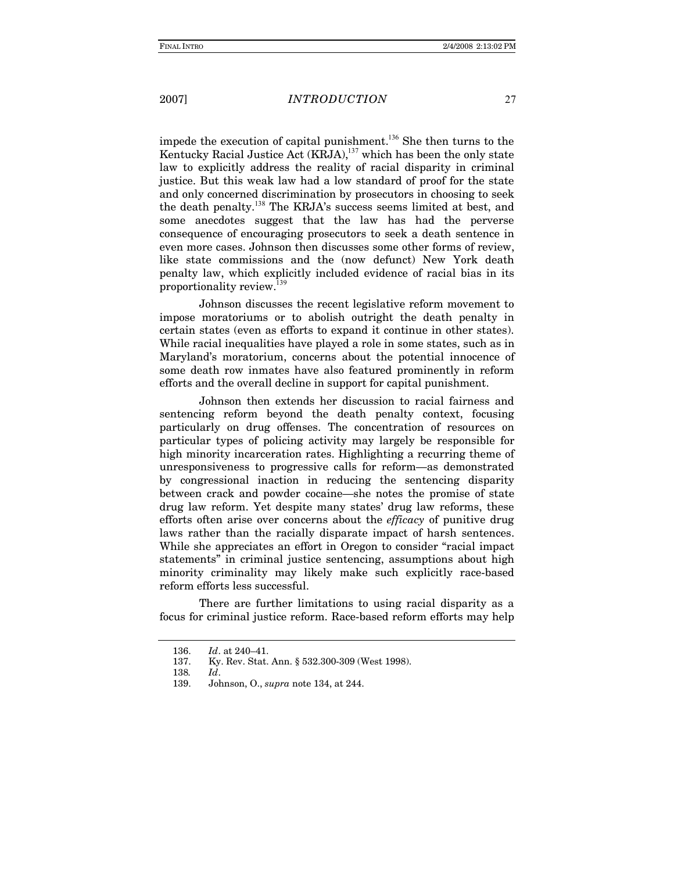### *INTRODUCTION*

impede the execution of capital punishment.<sup>136</sup> She then turns to the Kentucky Racial Justice Act (KRJA),<sup>137</sup> which has been the only state law to explicitly address the reality of racial disparity in criminal justice. But this weak law had a low standard of proof for the state and only concerned discrimination by prosecutors in choosing to seek the death penalty.<sup>138</sup> The KRJA's success seems limited at best, and some anecdotes suggest that the law has had the perverse consequence of encouraging prosecutors to seek a death sentence in even more cases. Johnson then discusses some other forms of review, like state commissions and the (now defunct) New York death penalty law, which explicitly included evidence of racial bias in its proportionality review.<sup>139</sup>

Johnson discusses the recent legislative reform movement to impose moratoriums or to abolish outright the death penalty in certain states (even as efforts to expand it continue in other states). While racial inequalities have played a role in some states, such as in Maryland's moratorium, concerns about the potential innocence of some death row inmates have also featured prominently in reform efforts and the overall decline in support for capital punishment.

Johnson then extends her discussion to racial fairness and sentencing reform beyond the death penalty context, focusing particularly on drug offenses. The concentration of resources on particular types of policing activity may largely be responsible for high minority incarceration rates. Highlighting a recurring theme of unresponsiveness to progressive calls for reform—as demonstrated by congressional inaction in reducing the sentencing disparity between crack and powder cocaine—she notes the promise of state drug law reform. Yet despite many states' drug law reforms, these efforts often arise over concerns about the *efficacy* of punitive drug laws rather than the racially disparate impact of harsh sentences. While she appreciates an effort in Oregon to consider "racial impact" statements" in criminal justice sentencing, assumptions about high minority criminality may likely make such explicitly race-based reform efforts less successful.

There are further limitations to using racial disparity as a focus for criminal justice reform. Race-based reform efforts may help

<sup>136.</sup> Id. at 240-41.

Ky. Rev. Stat. Ann. § 532.300-309 (West 1998). 137.

<sup>138.</sup> Id.

<sup>139.</sup> Johnson, O., supra note 134, at 244.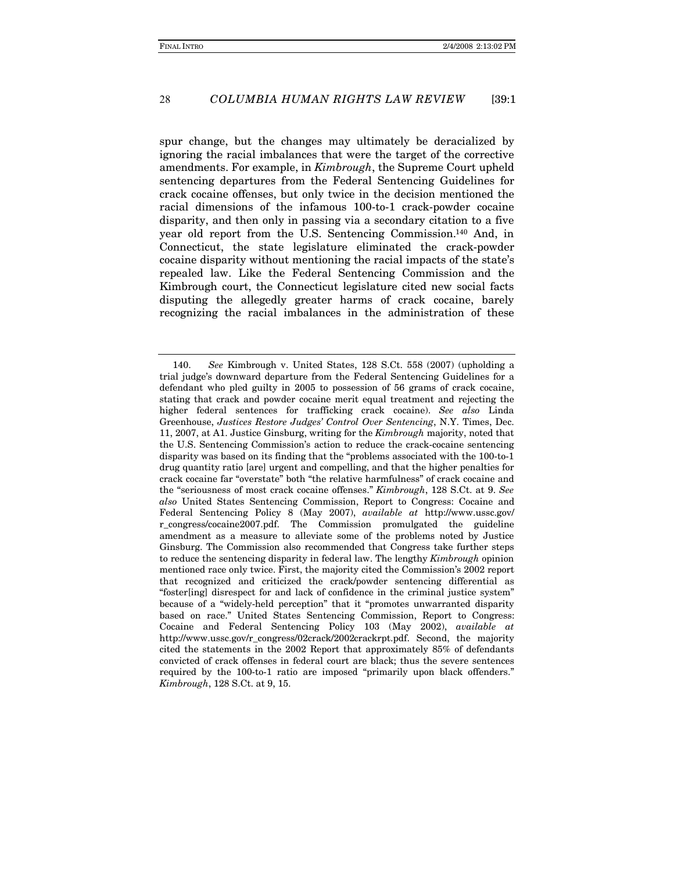#### COLUMBIA HUMAN RIGHTS LAW REVIEW 28  $139:1$

spur change, but the changes may ultimately be deracialized by ignoring the racial imbalances that were the target of the corrective amendments. For example, in *Kimbrough*, the Supreme Court upheld sentencing departures from the Federal Sentencing Guidelines for crack cocaine offenses, but only twice in the decision mentioned the racial dimensions of the infamous 100-to-1 crack-powder cocaine disparity, and then only in passing via a secondary citation to a five year old report from the U.S. Sentencing Commission.<sup>140</sup> And, in Connecticut, the state legislature eliminated the crack-powder cocaine disparity without mentioning the racial impacts of the state's repealed law. Like the Federal Sentencing Commission and the Kimbrough court, the Connecticut legislature cited new social facts disputing the allegedly greater harms of crack cocaine, barely recognizing the racial imbalances in the administration of these

See Kimbrough v. United States, 128 S.Ct. 558 (2007) (upholding a 140. trial judge's downward departure from the Federal Sentencing Guidelines for a defendant who pled guilty in 2005 to possession of 56 grams of crack cocaine, stating that crack and powder cocaine merit equal treatment and rejecting the higher federal sentences for trafficking crack cocaine). See also Linda Greenhouse, Justices Restore Judges' Control Over Sentencing, N.Y. Times, Dec. 11, 2007, at A1. Justice Ginsburg, writing for the *Kimbrough* majority, noted that the U.S. Sentencing Commission's action to reduce the crack-cocaine sentencing disparity was based on its finding that the "problems associated with the 100-to-1 drug quantity ratio [are] urgent and compelling, and that the higher penalties for crack cocaine far "overstate" both "the relative harmfulness" of crack cocaine and the "seriousness of most crack cocaine offenses." Kimbrough, 128 S.Ct. at 9. See also United States Sentencing Commission, Report to Congress: Cocaine and Federal Sentencing Policy 8 (May 2007), available at http://www.ussc.gov/ r\_congress/cocaine2007.pdf. The Commission promulgated the guideline amendment as a measure to alleviate some of the problems noted by Justice Ginsburg. The Commission also recommended that Congress take further steps to reduce the sentencing disparity in federal law. The lengthy *Kimbrough* opinion mentioned race only twice. First, the majority cited the Commission's 2002 report that recognized and criticized the crack/powder sentencing differential as "foster[ing] disrespect for and lack of confidence in the criminal justice system" because of a "widely-held perception" that it "promotes unwarranted disparity based on race." United States Sentencing Commission, Report to Congress: Cocaine and Federal Sentencing Policy 103 (May 2002), available at http://www.ussc.gov/r\_congress/02crack/2002crackrpt.pdf. Second, the majority cited the statements in the 2002 Report that approximately 85% of defendants convicted of crack offenses in federal court are black; thus the severe sentences required by the 100-to-1 ratio are imposed "primarily upon black offenders." Kimbrough, 128 S.Ct. at 9, 15.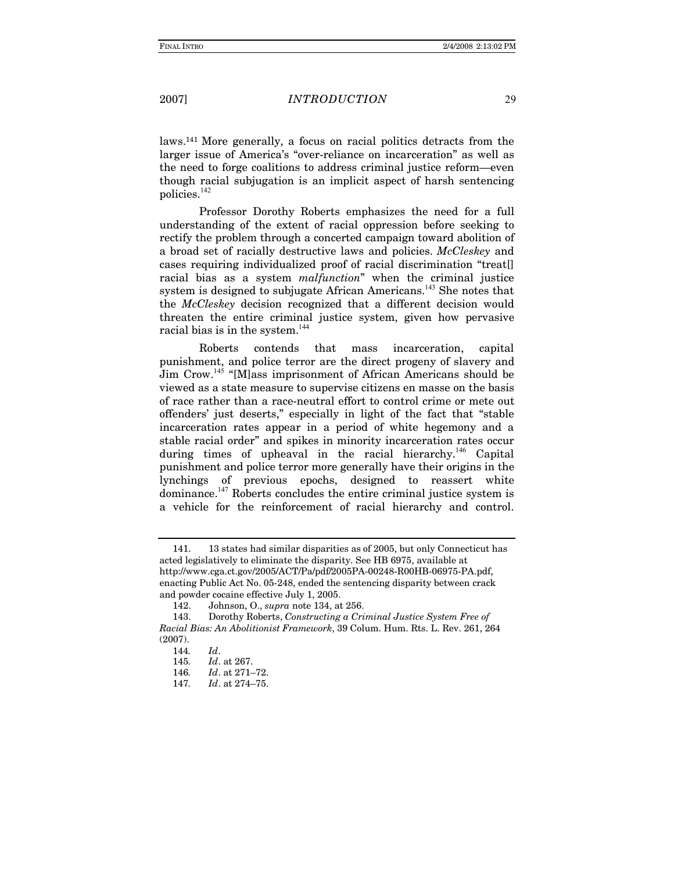### *INTRODUCTION*

laws.<sup>141</sup> More generally, a focus on racial politics detracts from the larger issue of America's "over-reliance on incarceration" as well as the need to forge coalitions to address criminal justice reform—even though racial subjugation is an implicit aspect of harsh sentencing policies.<sup>142</sup>

Professor Dorothy Roberts emphasizes the need for a full understanding of the extent of racial oppression before seeking to rectify the problem through a concerted campaign toward abolition of a broad set of racially destructive laws and policies. McCleskey and cases requiring individualized proof of racial discrimination "treat. racial bias as a system *malfunction*" when the criminal justice system is designed to subjugate African Americans.<sup>143</sup> She notes that the McCleskey decision recognized that a different decision would threaten the entire criminal justice system, given how pervasive racial bias is in the system.<sup>144</sup>

incarceration, Roberts contends that mass capital punishment, and police terror are the direct progeny of slavery and Jim Crow.<sup>145</sup> "[M]ass imprisonment of African Americans should be viewed as a state measure to supervise citizens en masse on the basis of race rather than a race-neutral effort to control crime or mete out offenders' just deserts," especially in light of the fact that "stable" incarceration rates appear in a period of white hegemony and a stable racial order" and spikes in minority incarceration rates occur during times of upheaval in the racial hierarchy.<sup>146</sup> Capital punishment and police terror more generally have their origins in the lynchings of previous epochs, designed to reassert white dominance.<sup>147</sup> Roberts concludes the entire criminal justice system is a vehicle for the reinforcement of racial hierarchy and control.

<sup>13</sup> states had similar disparities as of 2005, but only Connecticut has 141. acted legislatively to eliminate the disparity. See HB 6975, available at http://www.cga.ct.gov/2005/ACT/Pa/pdf/2005PA-00248-R00HB-06975-PA.pdf, enacting Public Act No. 05-248, ended the sentencing disparity between crack and powder cocaine effective July 1, 2005.

<sup>142.</sup> Johnson, O., supra note 134, at 256.

<sup>143.</sup> Dorothy Roberts, Constructing a Criminal Justice System Free of Racial Bias: An Abolitionist Framework, 39 Colum. Hum. Rts. L. Rev. 261, 264  $(2007).$ 

<sup>144.</sup>  $Id.$ 

Id. at 267. 145.

Id. at 271-72. 146.

Id. at 274-75. 147.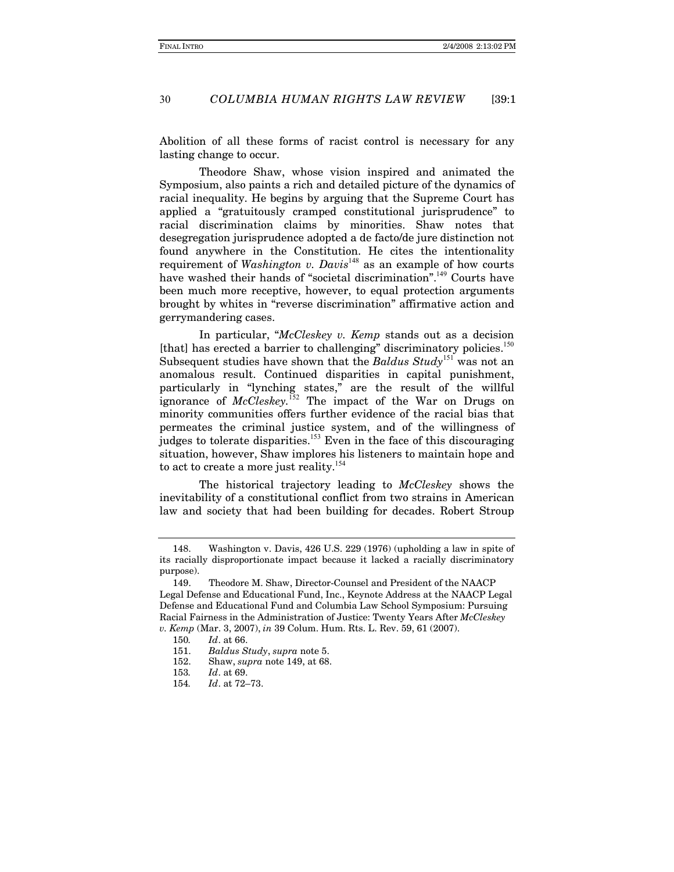#### COLUMBIA HUMAN RIGHTS LAW REVIEW 30  $139:1$

Abolition of all these forms of racist control is necessary for any lasting change to occur.

Theodore Shaw, whose vision inspired and animated the Symposium, also paints a rich and detailed picture of the dynamics of racial inequality. He begins by arguing that the Supreme Court has applied a "gratuitously cramped constitutional jurisprudence" to racial discrimination claims by minorities. Shaw notes that desegregation jurisprudence adopted a de facto/de jure distinction not found anywhere in the Constitution. He cites the intentionality requirement of Washington v. Davis<sup>148</sup> as an example of how courts have washed their hands of "societal discrimination".<sup>149</sup> Courts have been much more receptive, however, to equal protection arguments brought by whites in "reverse discrimination" affirmative action and gerrymandering cases.

In particular, "McCleskey v. Kemp stands out as a decision [that] has erected a barrier to challenging" discriminatory policies.<sup>150</sup> Subsequent studies have shown that the Baldus Study<sup>151</sup> was not an anomalous result. Continued disparities in capital punishment, particularly in "lynching states," are the result of the willful ignorance of McCleskey.<sup>152</sup> The impact of the War on Drugs on minority communities offers further evidence of the racial bias that permeates the criminal justice system, and of the willingness of judges to tolerate disparities.<sup>153</sup> Even in the face of this discouraging situation, however, Shaw implores his listeners to maintain hope and to act to create a more just reality.<sup>154</sup>

The historical trajectory leading to McCleskey shows the inevitability of a constitutional conflict from two strains in American law and society that had been building for decades. Robert Stroup

Washington v. Davis, 426 U.S. 229 (1976) (upholding a law in spite of 148. its racially disproportionate impact because it lacked a racially discriminatory purpose).

Theodore M. Shaw, Director-Counsel and President of the NAACP 149. Legal Defense and Educational Fund, Inc., Keynote Address at the NAACP Legal Defense and Educational Fund and Columbia Law School Symposium: Pursuing Racial Fairness in the Administration of Justice: Twenty Years After McCleskey v. Kemp (Mar. 3, 2007), in 39 Colum. Hum. Rts. L. Rev. 59, 61 (2007).

<sup>150.</sup> Id. at 66.

<sup>151.</sup> Baldus Study, supra note 5.

<sup>152.</sup> Shaw, *supra* note 149, at 68.

<sup>153.</sup> Id. at 69.

Id. at 72-73. 154.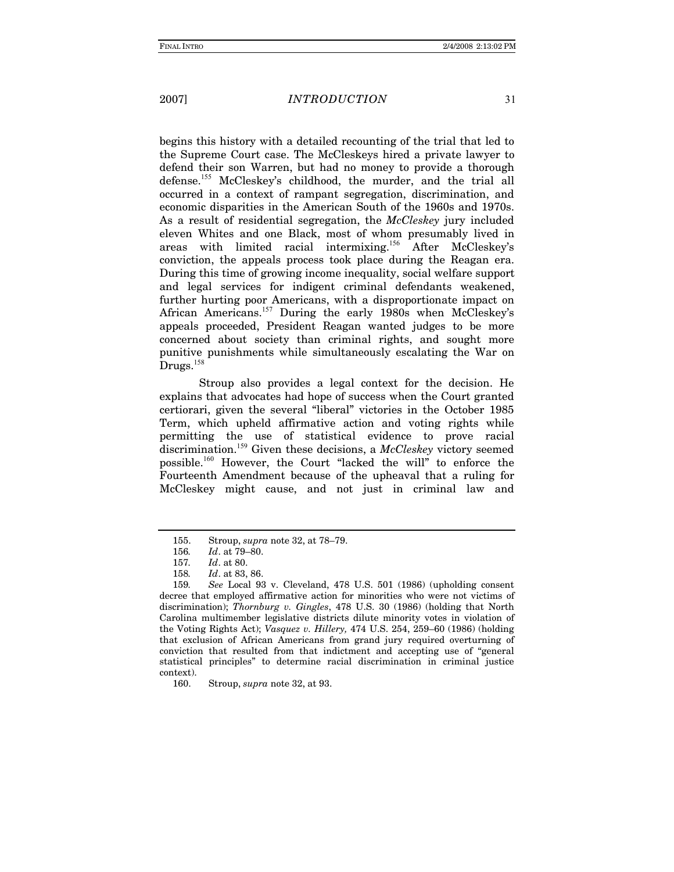### *INTRODUCTION*

begins this history with a detailed recounting of the trial that led to the Supreme Court case. The McCleskeys hired a private lawyer to defend their son Warren, but had no money to provide a thorough defense.<sup>155</sup> McCleskey's childhood, the murder, and the trial all occurred in a context of rampant segregation, discrimination, and economic disparities in the American South of the 1960s and 1970s. As a result of residential segregation, the McCleskey jury included eleven Whites and one Black, most of whom presumably lived in areas with limited racial intermixing.<sup>156</sup> After McCleskey's conviction, the appeals process took place during the Reagan era. During this time of growing income inequality, social welfare support and legal services for indigent criminal defendants weakened, further hurting poor Americans, with a disproportionate impact on African Americans.<sup>157</sup> During the early 1980s when McCleskey's appeals proceeded, President Reagan wanted judges to be more concerned about society than criminal rights, and sought more punitive punishments while simultaneously escalating the War on  $Drugs.<sup>158</sup>$ 

Stroup also provides a legal context for the decision. He explains that advocates had hope of success when the Court granted certiorari, given the several "liberal" victories in the October 1985 Term, which upheld affirmative action and voting rights while permitting the use of statistical evidence to prove racial  $\alpha$  discrimination.<sup>159</sup> Given these decisions, a *McCleskey* victory seemed possible.<sup>160</sup> However, the Court "lacked the will" to enforce the Fourteenth Amendment because of the upheaval that a ruling for McCleskey might cause, and not just in criminal law and

<sup>155.</sup> Stroup, *supra* note 32, at 78–79.

<sup>156.</sup> Id. at 79-80.

Id. at 80. 157.

<sup>158.</sup> Id. at 83, 86.

See Local 93 v. Cleveland, 478 U.S. 501 (1986) (upholding consent 159. decree that employed affirmative action for minorities who were not victims of discrimination); Thornburg v. Gingles, 478 U.S. 30 (1986) (holding that North Carolina multimember legislative districts dilute minority votes in violation of the Voting Rights Act); Vasquez v. Hillery, 474 U.S. 254, 259-60 (1986) (holding that exclusion of African Americans from grand jury required overturning of conviction that resulted from that indictment and accepting use of "general" statistical principles" to determine racial discrimination in criminal justice context).

<sup>160.</sup> Stroup, supra note 32, at 93.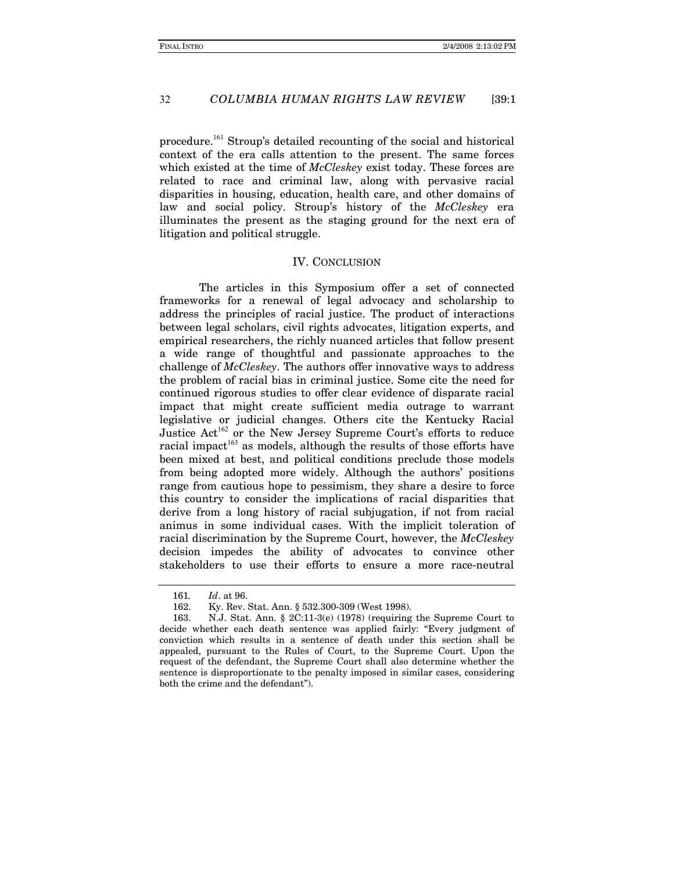#### COLUMBIA HUMAN RIGHTS LAW REVIEW 32  $139:1$

procedure.<sup>161</sup> Stroup's detailed recounting of the social and historical context of the era calls attention to the present. The same forces which existed at the time of McCleskey exist today. These forces are related to race and criminal law, along with pervasive racial disparities in housing, education, health care, and other domains of law and social policy. Stroup's history of the McCleskey era illuminates the present as the staging ground for the next era of litigation and political struggle.

### **IV. CONCLUSION**

The articles in this Symposium offer a set of connected frameworks for a renewal of legal advocacy and scholarship to address the principles of racial justice. The product of interactions between legal scholars, civil rights advocates, litigation experts, and empirical researchers, the richly nuanced articles that follow present a wide range of thoughtful and passionate approaches to the challenge of McCleskey. The authors offer innovative ways to address the problem of racial bias in criminal justice. Some cite the need for continued rigorous studies to offer clear evidence of disparate racial impact that might create sufficient media outrage to warrant legislative or judicial changes. Others cite the Kentucky Racial Justice Act<sup>162</sup> or the New Jersey Supreme Court's efforts to reduce racial impact<sup>163</sup> as models, although the results of those efforts have been mixed at best, and political conditions preclude those models from being adopted more widely. Although the authors' positions range from cautious hope to pessimism, they share a desire to force this country to consider the implications of racial disparities that derive from a long history of racial subjugation, if not from racial animus in some individual cases. With the implicit toleration of racial discrimination by the Supreme Court, however, the McCleskey decision impedes the ability of advocates to convince other stakeholders to use their efforts to ensure a more race-neutral

<sup>161.</sup> Id. at 96.

<sup>162.</sup> Ky. Rev. Stat. Ann. § 532.300-309 (West 1998).

N.J. Stat. Ann. § 2C:11-3(e) (1978) (requiring the Supreme Court to 163. decide whether each death sentence was applied fairly: "Every judgment of conviction which results in a sentence of death under this section shall be appealed, pursuant to the Rules of Court, to the Supreme Court. Upon the request of the defendant, the Supreme Court shall also determine whether the sentence is disproportionate to the penalty imposed in similar cases, considering both the crime and the defendant").